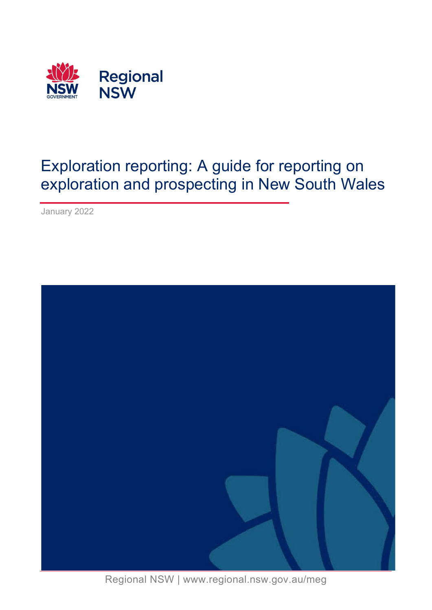

January 2022



Regional NSW | www.regional.nsw.gov.au/meg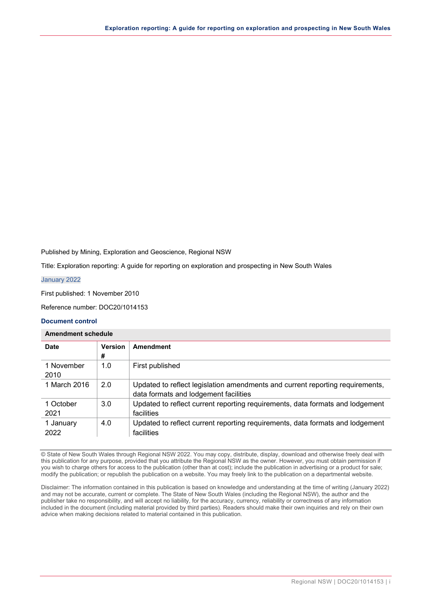Published by Mining, Exploration and Geoscience, Regional NSW

Title: Exploration reporting: A guide for reporting on exploration and prospecting in New South Wales

January 2022

First published: 1 November 2010

Reference number: DOC20/1014153

#### **Document control**

#### **Amendment schedule**

| <b>Date</b>        | <b>Version</b><br># | Amendment                                                                                                              |
|--------------------|---------------------|------------------------------------------------------------------------------------------------------------------------|
| 1 November<br>2010 | 1.0                 | First published                                                                                                        |
| 1 March 2016       | 2.0                 | Updated to reflect legislation amendments and current reporting requirements,<br>data formats and lodgement facilities |
| 1 October<br>2021  | 3.0                 | Updated to reflect current reporting requirements, data formats and lodgement<br>facilities                            |
| 1 January<br>2022  | 4.0                 | Updated to reflect current reporting requirements, data formats and lodgement<br>facilities                            |

© State of New South Wales through Regional NSW 2022. You may copy, distribute, display, download and otherwise freely deal with this publication for any purpose, provided that you attribute the Regional NSW as the owner. However, you must obtain permission if you wish to charge others for access to the publication (other than at cost); include the publication in advertising or a product for sale; modify the publication; or republish the publication on a website. You may freely link to the publication on a departmental website.

Disclaimer: The information contained in this publication is based on knowledge and understanding at the time of writing (January 2022) and may not be accurate, current or complete. The State of New South Wales (including the Regional NSW), the author and the publisher take no responsibility, and will accept no liability, for the accuracy, currency, reliability or correctness of any information included in the document (including material provided by third parties). Readers should make their own inquiries and rely on their own advice when making decisions related to material contained in this publication.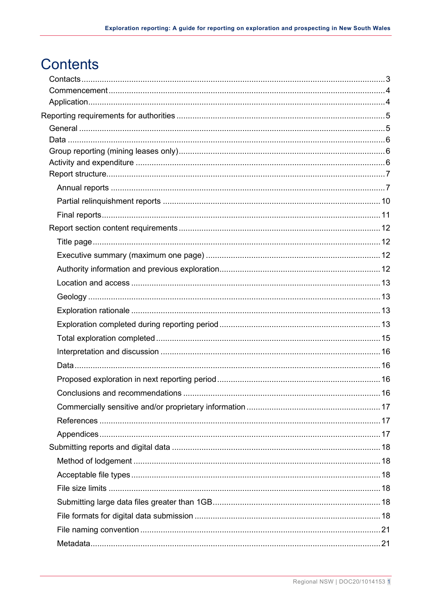# **Contents**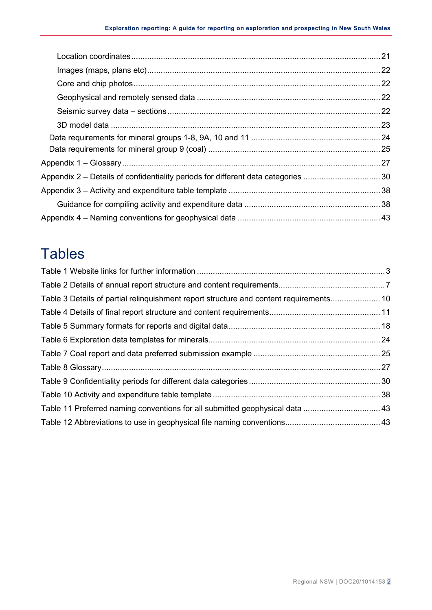| Appendix 2 – Details of confidentiality periods for different data categories 30 |
|----------------------------------------------------------------------------------|
|                                                                                  |
|                                                                                  |
|                                                                                  |

# **Tables**

| Table 3 Details of partial relinguishment report structure and content requirements 10 |  |
|----------------------------------------------------------------------------------------|--|
|                                                                                        |  |
|                                                                                        |  |
|                                                                                        |  |
|                                                                                        |  |
|                                                                                        |  |
|                                                                                        |  |
|                                                                                        |  |
|                                                                                        |  |
|                                                                                        |  |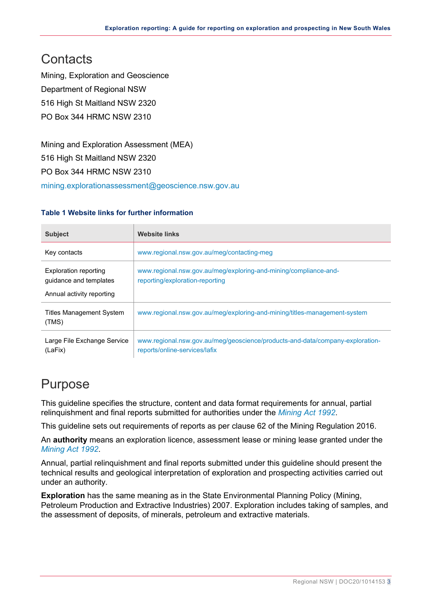## <span id="page-4-0"></span>**Contacts**

Mining, Exploration and Geoscience Department of Regional NSW 516 High St Maitland NSW 2320 PO Box 344 HRMC NSW 2310

Mining and Exploration Assessment (MEA) 516 High St Maitland NSW 2320 PO Box 344 HRMC NSW 2310

[mining.explorationassessment@geoscience.nsw.gov.au](mailto:mining.explorationassessment@geoscience.nsw.gov.au)

#### <span id="page-4-1"></span>**Table 1 Website links for further information**

| <b>Subject</b>                                                                      | <b>Website links</b>                                                                                           |
|-------------------------------------------------------------------------------------|----------------------------------------------------------------------------------------------------------------|
| Key contacts                                                                        | www.regional.nsw.gov.au/meg/contacting-meg                                                                     |
| <b>Exploration reporting</b><br>quidance and templates<br>Annual activity reporting | www.regional.nsw.gov.au/meg/exploring-and-mining/compliance-and-<br>reporting/exploration-reporting            |
| <b>Titles Management System</b><br>(TMS)                                            | www.regional.nsw.gov.au/meg/exploring-and-mining/titles-management-system                                      |
| Large File Exchange Service<br>(LaFix)                                              | www.regional.nsw.gov.au/meg/geoscience/products-and-data/company-exploration-<br>reports/online-services/lafix |

## Purpose

This guideline specifies the structure, content and data format requirements for annual, partial relinquishment and final reports submitted for authorities under the *[Mining Act 1992](https://www.legislation.nsw.gov.au/#/view/act/1992/29)*.

This guideline sets out requirements of reports as per clause 62 of the Mining Regulation 2016.

An **authority** means an exploration licence, assessment lease or mining lease granted under the *[Mining Act 1992](https://www.legislation.nsw.gov.au/#/view/act/1992/29)*.

Annual, partial relinquishment and final reports submitted under this guideline should present the technical results and geological interpretation of exploration and prospecting activities carried out under an authority.

**Exploration** has the same meaning as in the State Environmental Planning Policy (Mining, Petroleum Production and Extractive Industries) 2007. Exploration includes taking of samples, and the assessment of deposits, of minerals, petroleum and extractive materials.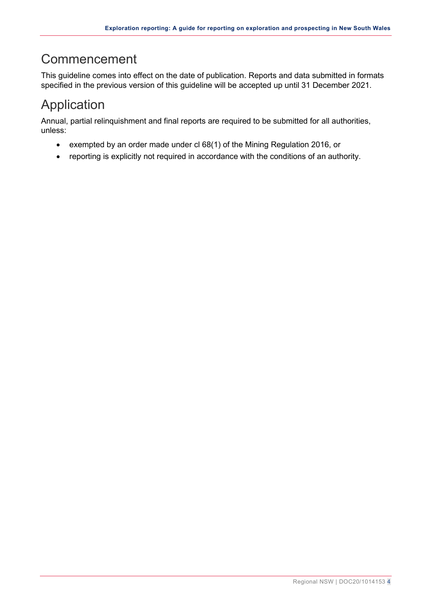## <span id="page-5-0"></span>Commencement

This guideline comes into effect on the date of publication. Reports and data submitted in formats specified in the previous version of this guideline will be accepted up until 31 December 2021.

## <span id="page-5-1"></span>Application

Annual, partial relinquishment and final reports are required to be submitted for all authorities, unless:

- exempted by an order made under cl 68(1) of the Mining Regulation 2016, or
- reporting is explicitly not required in accordance with the conditions of an authority.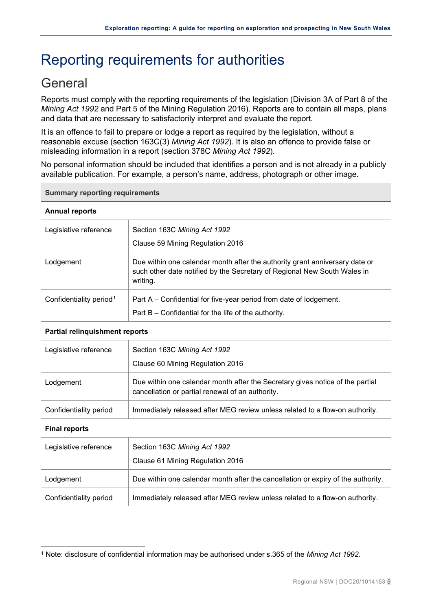# <span id="page-6-0"></span>Reporting requirements for authorities

## <span id="page-6-1"></span>**General**

Reports must comply with the reporting requirements of the legislation (Division 3A of Part 8 of the *Mining Act 1992* and Part 5 of the Mining Regulation 2016). Reports are to contain all maps, plans and data that are necessary to satisfactorily interpret and evaluate the report.

It is an offence to fail to prepare or lodge a report as required by the legislation, without a reasonable excuse (section 163C(3) *Mining Act 1992*). It is also an offence to provide false or misleading information in a report (section 378C *Mining Act 1992*).

No personal information should be included that identifies a person and is not already in a publicly available publication. For example, a person's name, address, photograph or other image.

#### **Summary reporting requirements**

#### **Annual reports**

| Legislative reference               | Section 163C Mining Act 1992<br>Clause 59 Mining Regulation 2016                                                                                                    |
|-------------------------------------|---------------------------------------------------------------------------------------------------------------------------------------------------------------------|
| Lodgement                           | Due within one calendar month after the authority grant anniversary date or<br>such other date notified by the Secretary of Regional New South Wales in<br>writing. |
| Confidentiality period <sup>1</sup> | Part A – Confidential for five-year period from date of lodgement.<br>Part B – Confidential for the life of the authority.                                          |

#### **Partial relinquishment reports**

| Legislative reference  | Section 163C Mining Act 1992<br>Clause 60 Mining Regulation 2016                                                                  |  |
|------------------------|-----------------------------------------------------------------------------------------------------------------------------------|--|
| Lodgement              | Due within one calendar month after the Secretary gives notice of the partial<br>cancellation or partial renewal of an authority. |  |
| Confidentiality period | Immediately released after MEG review unless related to a flow-on authority.                                                      |  |
| <b>Final reports</b>   |                                                                                                                                   |  |
| Legislative reference  | Section 163C Mining Act 1992<br>Clause 61 Mining Regulation 2016                                                                  |  |
| Lodgement              | Due within one calendar month after the cancellation or expiry of the authority.                                                  |  |
| Confidentiality period | Immediately released after MEG review unless related to a flow-on authority.                                                      |  |

<span id="page-6-2"></span><sup>1</sup> Note: disclosure of confidential information may be authorised under s.365 of the *Mining Act 1992*.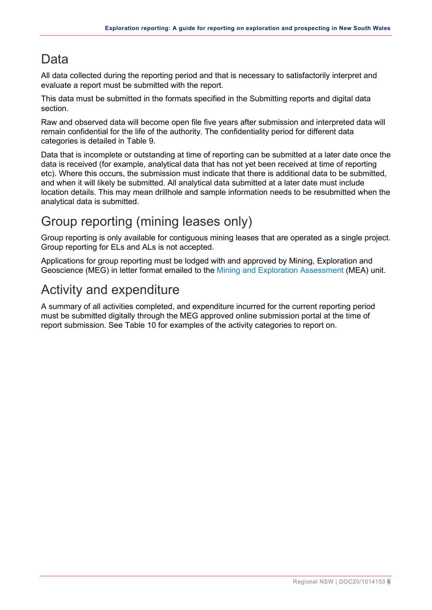## <span id="page-7-0"></span>Data

All data collected during the reporting period and that is necessary to satisfactorily interpret and evaluate a report must be submitted with the report.

This data must be submitted in the formats specified in the [Submitting reports and digital data](#page-18-3) section.

Raw and observed data will become open file five years after submission and interpreted data will remain confidential for the life of the authority. The confidentiality period for different data categories is detailed in [Table 9.](#page-31-1)

Data that is incomplete or outstanding at time of reporting can be submitted at a later date once the data is received (for example, analytical data that has not yet been received at time of reporting etc). Where this occurs, the submission must indicate that there is additional data to be submitted, and when it will likely be submitted. All analytical data submitted at a later date must include location details. This may mean drillhole and sample information needs to be resubmitted when the analytical data is submitted.

## <span id="page-7-1"></span>Group reporting (mining leases only)

Group reporting is only available for contiguous mining leases that are operated as a single project. Group reporting for ELs and ALs is not accepted.

Applications for group reporting must be lodged with and approved by Mining, Exploration and Geoscience (MEG) in letter format emailed to the [Mining and Exploration Assessment](mailto:mining.explorationassessment@geoscience.nsw.gov.au?subject=Application%20for%20group%20reporting) (MEA) unit.

## <span id="page-7-2"></span>Activity and expenditure

A summary of all activities completed, and expenditure incurred for the current reporting period must be submitted digitally through the MEG approved online submission portal at the time of report submission. See [Table 10](#page-39-2) for examples of the activity categories to report on.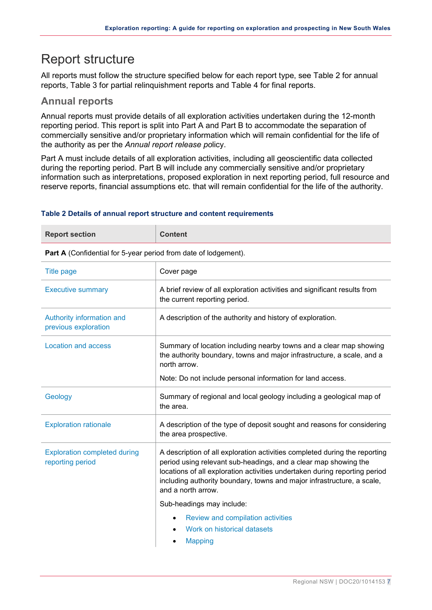## <span id="page-8-0"></span>Report structure

All reports must follow the structure specified below for each report type, see [Table 2](#page-8-2) for annual reports, [Table 3](#page-11-1) for partial relinquishment reports and [Table 4](#page-12-1) for final reports.

## <span id="page-8-1"></span>**Annual reports**

Annual reports must provide details of all exploration activities undertaken during the 12-month reporting period. This report is split into Part A and Part B to accommodate the separation of commercially sensitive and/or proprietary information which will remain confidential for the life of the authority as per the *Annual report release po*licy.

Part A must include details of all exploration activities, including all geoscientific data collected during the reporting period. Part B will include any commercially sensitive and/or proprietary information such as interpretations, proposed exploration in next reporting period, full resource and reserve reports, financial assumptions etc. that will remain confidential for the life of the authority.

#### <span id="page-8-2"></span>**Table 2 Details of annual report structure and content requirements**

| <b>Report section</b> | <b>Content</b> |
|-----------------------|----------------|
|                       |                |

Part A (Confidential for 5-year period from date of lodgement).

| <b>Title page</b>                                       | Cover page                                                                                                                                                                                                                                                                                                                  |
|---------------------------------------------------------|-----------------------------------------------------------------------------------------------------------------------------------------------------------------------------------------------------------------------------------------------------------------------------------------------------------------------------|
| <b>Executive summary</b>                                | A brief review of all exploration activities and significant results from<br>the current reporting period.                                                                                                                                                                                                                  |
| Authority information and<br>previous exploration       | A description of the authority and history of exploration.                                                                                                                                                                                                                                                                  |
| Location and access                                     | Summary of location including nearby towns and a clear map showing<br>the authority boundary, towns and major infrastructure, a scale, and a<br>north arrow.<br>Note: Do not include personal information for land access.                                                                                                  |
| Geology                                                 | Summary of regional and local geology including a geological map of<br>the area.                                                                                                                                                                                                                                            |
| <b>Exploration rationale</b>                            | A description of the type of deposit sought and reasons for considering<br>the area prospective.                                                                                                                                                                                                                            |
| <b>Exploration completed during</b><br>reporting period | A description of all exploration activities completed during the reporting<br>period using relevant sub-headings, and a clear map showing the<br>locations of all exploration activities undertaken during reporting period<br>including authority boundary, towns and major infrastructure, a scale,<br>and a north arrow. |
|                                                         | Sub-headings may include:                                                                                                                                                                                                                                                                                                   |
|                                                         | Review and compilation activities                                                                                                                                                                                                                                                                                           |
|                                                         | Work on historical datasets                                                                                                                                                                                                                                                                                                 |
|                                                         | <b>Mapping</b>                                                                                                                                                                                                                                                                                                              |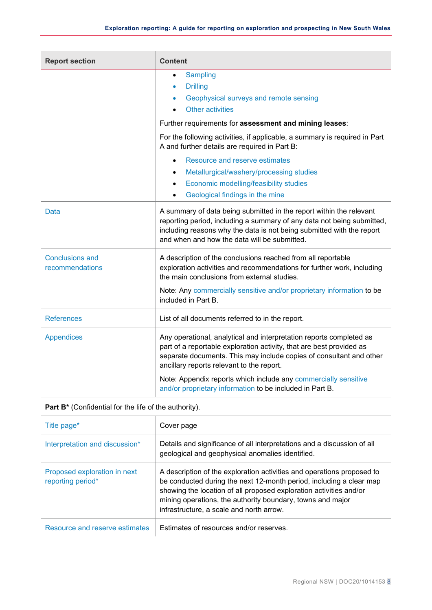| <b>Report section</b>                     | <b>Content</b>                                                                                                                                                                                                                                                         |
|-------------------------------------------|------------------------------------------------------------------------------------------------------------------------------------------------------------------------------------------------------------------------------------------------------------------------|
|                                           | <b>Sampling</b><br>$\bullet$<br><b>Drilling</b><br>$\bullet$<br>Geophysical surveys and remote sensing<br><b>Other activities</b>                                                                                                                                      |
|                                           | Further requirements for assessment and mining leases:                                                                                                                                                                                                                 |
|                                           | For the following activities, if applicable, a summary is required in Part<br>A and further details are required in Part B:                                                                                                                                            |
|                                           | Resource and reserve estimates<br>$\bullet$<br>Metallurgical/washery/processing studies<br>$\bullet$<br>Economic modelling/feasibility studies<br>$\bullet$<br>Geological findings in the mine                                                                         |
| Data                                      | A summary of data being submitted in the report within the relevant<br>reporting period, including a summary of any data not being submitted,<br>including reasons why the data is not being submitted with the report<br>and when and how the data will be submitted. |
| <b>Conclusions and</b><br>recommendations | A description of the conclusions reached from all reportable<br>exploration activities and recommendations for further work, including<br>the main conclusions from external studies.                                                                                  |
|                                           | Note: Any commercially sensitive and/or proprietary information to be<br>included in Part B.                                                                                                                                                                           |
| <b>References</b>                         | List of all documents referred to in the report.                                                                                                                                                                                                                       |
| <b>Appendices</b>                         | Any operational, analytical and interpretation reports completed as<br>part of a reportable exploration activity, that are best provided as<br>separate documents. This may include copies of consultant and other<br>ancillary reports relevant to the report.        |
|                                           | Note: Appendix reports which include any commercially sensitive<br>and/or proprietary information to be included in Part B.                                                                                                                                            |

| Title page*                                       | Cover page                                                                                                                                                                                                                                                                                                                    |
|---------------------------------------------------|-------------------------------------------------------------------------------------------------------------------------------------------------------------------------------------------------------------------------------------------------------------------------------------------------------------------------------|
| Interpretation and discussion*                    | Details and significance of all interpretations and a discussion of all<br>geological and geophysical anomalies identified.                                                                                                                                                                                                   |
| Proposed exploration in next<br>reporting period* | A description of the exploration activities and operations proposed to<br>be conducted during the next 12-month period, including a clear map<br>showing the location of all proposed exploration activities and/or<br>mining operations, the authority boundary, towns and major<br>infrastructure, a scale and north arrow. |
| Resource and reserve estimates                    | Estimates of resources and/or reserves.                                                                                                                                                                                                                                                                                       |

#### Part B<sup>\*</sup> (Confidential for the life of the authority).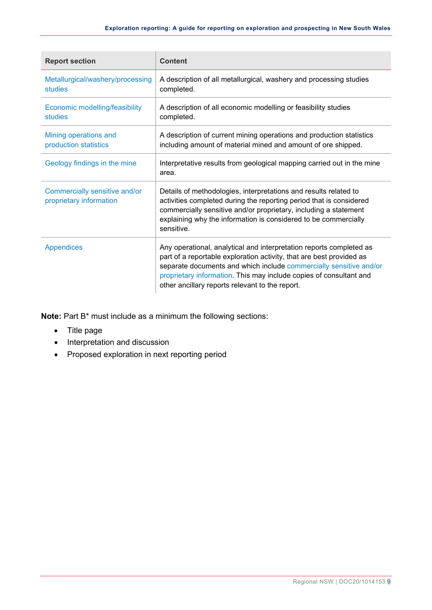| <b>Report section</b>                                    | <b>Content</b>                                                                                                                                                                                                                                                                                                                             |
|----------------------------------------------------------|--------------------------------------------------------------------------------------------------------------------------------------------------------------------------------------------------------------------------------------------------------------------------------------------------------------------------------------------|
| Metallurgical/washery/processing<br>studies              | A description of all metallurgical, washery and processing studies<br>completed.                                                                                                                                                                                                                                                           |
| Economic modelling/feasibility<br>studies                | A description of all economic modelling or feasibility studies<br>completed.                                                                                                                                                                                                                                                               |
| Mining operations and<br>production statistics           | A description of current mining operations and production statistics<br>including amount of material mined and amount of ore shipped.                                                                                                                                                                                                      |
| Geology findings in the mine                             | Interpretative results from geological mapping carried out in the mine<br>area.                                                                                                                                                                                                                                                            |
| Commercially sensitive and/or<br>proprietary information | Details of methodologies, interpretations and results related to<br>activities completed during the reporting period that is considered<br>commercially sensitive and/or proprietary, including a statement<br>explaining why the information is considered to be commercially<br>sensitive.                                               |
| Appendices                                               | Any operational, analytical and interpretation reports completed as<br>part of a reportable exploration activity, that are best provided as<br>separate documents and which include commercially sensitive and/or<br>proprietary information. This may include copies of consultant and<br>other ancillary reports relevant to the report. |

**Note:** Part B\* must include as a minimum the following sections:

- Title page
- Interpretation and discussion
- Proposed exploration in next reporting period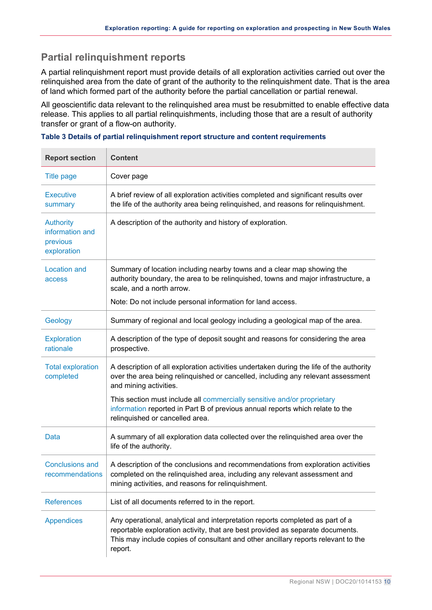## <span id="page-11-0"></span>**Partial relinquishment reports**

A partial relinquishment report must provide details of all exploration activities carried out over the relinquished area from the date of grant of the authority to the relinquishment date. That is the area of land which formed part of the authority before the partial cancellation or partial renewal.

All geoscientific data relevant to the relinquished area must be resubmitted to enable effective data release. This applies to all partial relinquishments, including those that are a result of authority transfer or grant of a flow-on authority.

<span id="page-11-1"></span>

| Table 3 Details of partial relinquishment report structure and content requirements |  |  |  |  |  |  |  |
|-------------------------------------------------------------------------------------|--|--|--|--|--|--|--|
|-------------------------------------------------------------------------------------|--|--|--|--|--|--|--|

| <b>Report section</b>                                          | <b>Content</b>                                                                                                                                                                                                                                                  |
|----------------------------------------------------------------|-----------------------------------------------------------------------------------------------------------------------------------------------------------------------------------------------------------------------------------------------------------------|
| <b>Title page</b>                                              | Cover page                                                                                                                                                                                                                                                      |
| <b>Executive</b><br>summary                                    | A brief review of all exploration activities completed and significant results over<br>the life of the authority area being relinquished, and reasons for relinquishment.                                                                                       |
| <b>Authority</b><br>information and<br>previous<br>exploration | A description of the authority and history of exploration.                                                                                                                                                                                                      |
| <b>Location and</b><br>access                                  | Summary of location including nearby towns and a clear map showing the<br>authority boundary, the area to be relinquished, towns and major infrastructure, a<br>scale, and a north arrow.                                                                       |
|                                                                | Note: Do not include personal information for land access.                                                                                                                                                                                                      |
| Geology                                                        | Summary of regional and local geology including a geological map of the area.                                                                                                                                                                                   |
| <b>Exploration</b><br>rationale                                | A description of the type of deposit sought and reasons for considering the area<br>prospective.                                                                                                                                                                |
| <b>Total exploration</b><br>completed                          | A description of all exploration activities undertaken during the life of the authority<br>over the area being relinquished or cancelled, including any relevant assessment<br>and mining activities.                                                           |
|                                                                | This section must include all commercially sensitive and/or proprietary<br>information reported in Part B of previous annual reports which relate to the<br>relinquished or cancelled area.                                                                     |
| <b>Data</b>                                                    | A summary of all exploration data collected over the relinquished area over the<br>life of the authority.                                                                                                                                                       |
| <b>Conclusions and</b><br>recommendations                      | A description of the conclusions and recommendations from exploration activities<br>completed on the relinquished area, including any relevant assessment and<br>mining activities, and reasons for relinquishment.                                             |
| <b>References</b>                                              | List of all documents referred to in the report.                                                                                                                                                                                                                |
| <b>Appendices</b>                                              | Any operational, analytical and interpretation reports completed as part of a<br>reportable exploration activity, that are best provided as separate documents.<br>This may include copies of consultant and other ancillary reports relevant to the<br>report. |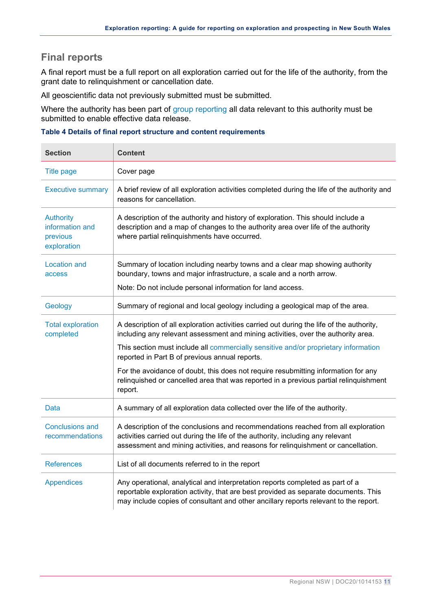## <span id="page-12-0"></span>**Final reports**

A final report must be a full report on all exploration carried out for the life of the authority, from the grant date to relinquishment or cancellation date.

All geoscientific data not previously submitted must be submitted.

Where the authority has been part of [group reporting](#page-7-1) all data relevant to this authority must be submitted to enable effective data release.

#### <span id="page-12-1"></span>**Table 4 Details of final report structure and content requirements**

| <b>Section</b>                                                 | <b>Content</b>                                                                                                                                                                                                                                               |
|----------------------------------------------------------------|--------------------------------------------------------------------------------------------------------------------------------------------------------------------------------------------------------------------------------------------------------------|
| <b>Title page</b>                                              | Cover page                                                                                                                                                                                                                                                   |
| <b>Executive summary</b>                                       | A brief review of all exploration activities completed during the life of the authority and<br>reasons for cancellation.                                                                                                                                     |
| <b>Authority</b><br>information and<br>previous<br>exploration | A description of the authority and history of exploration. This should include a<br>description and a map of changes to the authority area over life of the authority<br>where partial relinquishments have occurred.                                        |
| <b>Location and</b><br>access                                  | Summary of location including nearby towns and a clear map showing authority<br>boundary, towns and major infrastructure, a scale and a north arrow.                                                                                                         |
|                                                                | Note: Do not include personal information for land access.                                                                                                                                                                                                   |
| Geology                                                        | Summary of regional and local geology including a geological map of the area.                                                                                                                                                                                |
| <b>Total exploration</b><br>completed                          | A description of all exploration activities carried out during the life of the authority,<br>including any relevant assessment and mining activities, over the authority area.                                                                               |
|                                                                | This section must include all commercially sensitive and/or proprietary information<br>reported in Part B of previous annual reports.                                                                                                                        |
|                                                                | For the avoidance of doubt, this does not require resubmitting information for any<br>relinquished or cancelled area that was reported in a previous partial relinquishment<br>report.                                                                       |
| Data                                                           | A summary of all exploration data collected over the life of the authority.                                                                                                                                                                                  |
| <b>Conclusions and</b><br>recommendations                      | A description of the conclusions and recommendations reached from all exploration<br>activities carried out during the life of the authority, including any relevant<br>assessment and mining activities, and reasons for relinquishment or cancellation.    |
| <b>References</b>                                              | List of all documents referred to in the report                                                                                                                                                                                                              |
| <b>Appendices</b>                                              | Any operational, analytical and interpretation reports completed as part of a<br>reportable exploration activity, that are best provided as separate documents. This<br>may include copies of consultant and other ancillary reports relevant to the report. |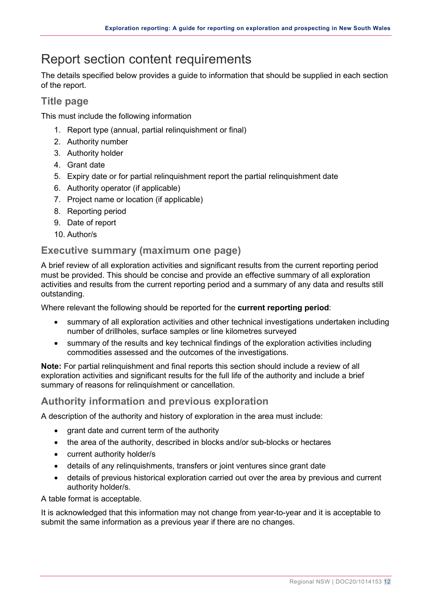## <span id="page-13-0"></span>Report section content requirements

The details specified below provides a guide to information that should be supplied in each section of the report.

## <span id="page-13-1"></span>**Title page**

This must include the following information

- 1. Report type (annual, partial relinquishment or final)
- 2. Authority number
- 3. Authority holder
- 4. Grant date
- 5. Expiry date or for partial relinquishment report the partial relinquishment date
- 6. Authority operator (if applicable)
- 7. Project name or location (if applicable)
- 8. Reporting period
- 9. Date of report
- 10. Author/s

### <span id="page-13-2"></span>**Executive summary (maximum one page)**

A brief review of all exploration activities and significant results from the current reporting period must be provided. This should be concise and provide an effective summary of all exploration activities and results from the current reporting period and a summary of any data and results still outstanding.

Where relevant the following should be reported for the **current reporting period**:

- summary of all exploration activities and other technical investigations undertaken including number of drillholes, surface samples or line kilometres surveyed
- summary of the results and key technical findings of the exploration activities including commodities assessed and the outcomes of the investigations.

**Note:** For partial relinquishment and final reports this section should include a review of all exploration activities and significant results for the full life of the authority and include a brief summary of reasons for relinquishment or cancellation.

## <span id="page-13-3"></span>**Authority information and previous exploration**

A description of the authority and history of exploration in the area must include:

- grant date and current term of the authority
- the area of the authority, described in blocks and/or sub-blocks or hectares
- current authority holder/s
- details of any relinquishments, transfers or joint ventures since grant date
- details of previous historical exploration carried out over the area by previous and current authority holder/s.

A table format is acceptable.

It is acknowledged that this information may not change from year-to-year and it is acceptable to submit the same information as a previous year if there are no changes.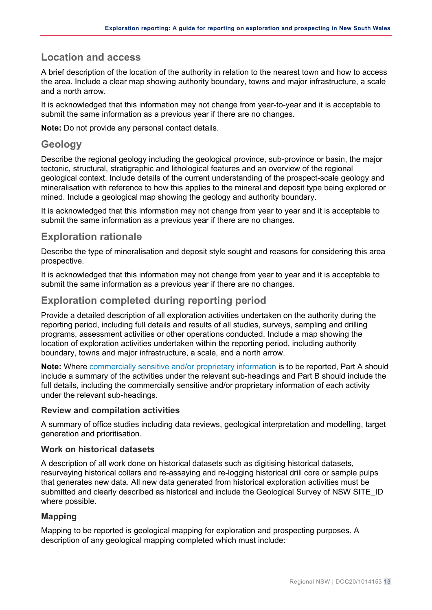## <span id="page-14-0"></span>**Location and access**

A brief description of the location of the authority in relation to the nearest town and how to access the area. Include a clear map showing authority boundary, towns and major infrastructure, a scale and a north arrow.

It is acknowledged that this information may not change from year-to-year and it is acceptable to submit the same information as a previous year if there are no changes.

**Note:** Do not provide any personal contact details.

### <span id="page-14-1"></span>**Geology**

Describe the regional geology including the geological province, sub-province or basin, the major tectonic, structural, stratigraphic and lithological features and an overview of the regional geological context. Include details of the current understanding of the prospect-scale geology and mineralisation with reference to how this applies to the mineral and deposit type being explored or mined. Include a geological map showing the geology and authority boundary.

It is acknowledged that this information may not change from year to year and it is acceptable to submit the same information as a previous year if there are no changes.

### <span id="page-14-2"></span>**Exploration rationale**

Describe the type of mineralisation and deposit style sought and reasons for considering this area prospective.

It is acknowledged that this information may not change from year to year and it is acceptable to submit the same information as a previous year if there are no changes.

### <span id="page-14-3"></span>**Exploration completed during reporting period**

Provide a detailed description of all exploration activities undertaken on the authority during the reporting period, including full details and results of all studies, surveys, sampling and drilling programs, assessment activities or other operations conducted. Include a map showing the location of exploration activities undertaken within the reporting period, including authority boundary, towns and major infrastructure, a scale, and a north arrow.

**Note:** Where [commercially sensitive and/or proprietary information](#page-18-0) is to be reported, Part A should include a summary of the activities under the relevant sub-headings and Part B should include the full details, including the commercially sensitive and/or proprietary information of each activity under the relevant sub-headings.

#### <span id="page-14-4"></span>**Review and compilation activities**

A summary of office studies including data reviews, geological interpretation and modelling, target generation and prioritisation.

#### <span id="page-14-5"></span>**Work on historical datasets**

A description of all work done on historical datasets such as digitising historical datasets, resurveying historical collars and re-assaying and re-logging historical drill core or sample pulps that generates new data. All new data generated from historical exploration activities must be submitted and clearly described as historical and include the Geological Survey of NSW SITE\_ID where possible.

#### <span id="page-14-6"></span>**Mapping**

Mapping to be reported is geological mapping for exploration and prospecting purposes. A description of any geological mapping completed which must include: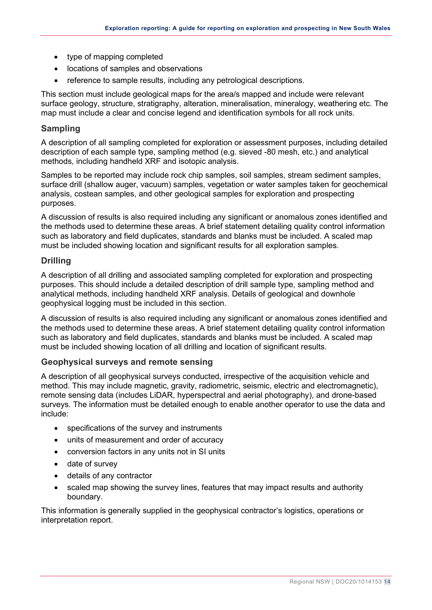- type of mapping completed
- locations of samples and observations
- reference to sample results, including any petrological descriptions.

This section must include geological maps for the area/s mapped and include were relevant surface geology, structure, stratigraphy, alteration, mineralisation, mineralogy, weathering etc. The map must include a clear and concise legend and identification symbols for all rock units.

#### <span id="page-15-0"></span>**Sampling**

A description of all sampling completed for exploration or assessment purposes, including detailed description of each sample type, sampling method (e.g. sieved -80 mesh, etc.) and analytical methods, including handheld XRF and isotopic analysis.

Samples to be reported may include rock chip samples, soil samples, stream sediment samples, surface drill (shallow auger, vacuum) samples, vegetation or water samples taken for geochemical analysis, costean samples, and other geological samples for exploration and prospecting purposes.

A discussion of results is also required including any significant or anomalous zones identified and the methods used to determine these areas. A brief statement detailing quality control information such as laboratory and field duplicates, standards and blanks must be included. A scaled map must be included showing location and significant results for all exploration samples.

#### **Drilling**

A description of all drilling and associated sampling completed for exploration and prospecting purposes. This should include a detailed description of drill sample type, sampling method and analytical methods, including handheld XRF analysis. Details of geological and downhole geophysical logging must be included in this section.

A discussion of results is also required including any significant or anomalous zones identified and the methods used to determine these areas. A brief statement detailing quality control information such as laboratory and field duplicates, standards and blanks must be included. A scaled map must be included showing location of all drilling and location of significant results.

#### **Geophysical surveys and remote sensing**

A description of all geophysical surveys conducted, irrespective of the acquisition vehicle and method. This may include magnetic, gravity, radiometric, seismic, electric and electromagnetic), remote sensing data (includes LiDAR, hyperspectral and aerial photography), and drone-based surveys. The information must be detailed enough to enable another operator to use the data and include:

- <span id="page-15-1"></span>• specifications of the survey and instruments
- units of measurement and order of accuracy
- conversion factors in any units not in SI units
- date of survey
- details of any contractor
- scaled map showing the survey lines, features that may impact results and authority boundary.

This information is generally supplied in the geophysical contractor's logistics, operations or interpretation report.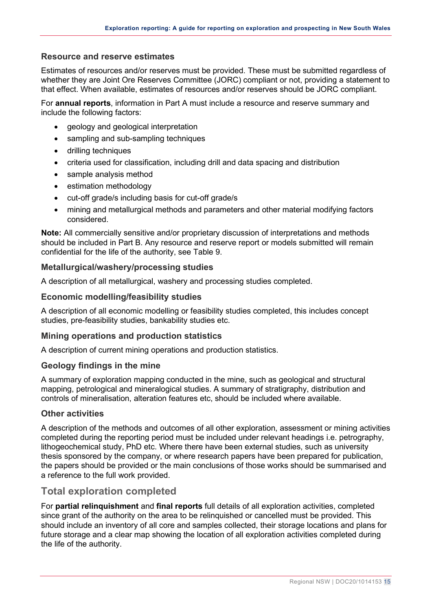#### <span id="page-16-2"></span>**Resource and reserve estimates**

Estimates of resources and/or reserves must be provided. These must be submitted regardless of whether they are Joint Ore Reserves Committee (JORC) compliant or not, providing a statement to that effect. When available, estimates of resources and/or reserves should be JORC compliant.

For **annual reports**, information in Part A must include a resource and reserve summary and include the following factors:

- geology and geological interpretation
- sampling and sub-sampling techniques
- drilling techniques
- criteria used for classification, including drill and data spacing and distribution
- sample analysis method
- estimation methodology
- cut-off grade/s including basis for cut-off grade/s
- mining and metallurgical methods and parameters and other material modifying factors considered.

**Note:** All commercially sensitive and/or proprietary discussion of interpretations and methods should be included in Part B. Any resource and reserve report or models submitted will remain confidential for the life of the authority, see [Table 9.](#page-31-1)

#### <span id="page-16-3"></span>**Metallurgical/washery/processing studies**

A description of all metallurgical, washery and processing studies completed.

#### <span id="page-16-4"></span>**Economic modelling/feasibility studies**

A description of all economic modelling or feasibility studies completed, this includes concept studies, pre-feasibility studies, bankability studies etc.

#### <span id="page-16-6"></span>**Mining operations and production statistics**

A description of current mining operations and production statistics.

#### <span id="page-16-5"></span>**Geology findings in the mine**

A summary of exploration mapping conducted in the mine, such as geological and structural mapping, petrological and mineralogical studies. A summary of stratigraphy, distribution and controls of mineralisation, alteration features etc, should be included where available.

#### <span id="page-16-1"></span>**Other activities**

A description of the methods and outcomes of all other exploration, assessment or mining activities completed during the reporting period must be included under relevant headings i.e. petrography, lithogeochemical study, PhD etc. Where there have been external studies, such as university thesis sponsored by the company, or where research papers have been prepared for publication, the papers should be provided or the main conclusions of those works should be summarised and a reference to the full work provided.

### <span id="page-16-0"></span>**Total exploration completed**

For **partial relinquishment** and **final reports** full details of all exploration activities, completed since grant of the authority on the area to be relinquished or cancelled must be provided. This should include an inventory of all core and samples collected, their storage locations and plans for future storage and a clear map showing the location of all exploration activities completed during the life of the authority.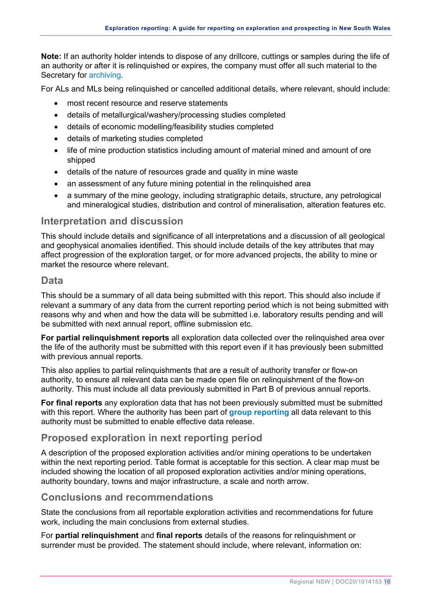**Note:** If an authority holder intends to dispose of any drillcore, cuttings or samples during the life of an authority or after it is relinquished or expires, the company must offer all such material to the Secretary for [archiving.](https://www.regional.nsw.gov.au/__data/assets/pdf_file/0008/669977/NSW_drillcore_policy_procedure.pdf)

For ALs and MLs being relinquished or cancelled additional details, where relevant, should include:

- most recent resource and reserve statements
- details of metallurgical/washery/processing studies completed
- details of economic modelling/feasibility studies completed
- details of marketing studies completed
- life of mine production statistics including amount of material mined and amount of ore shipped
- details of the nature of resources grade and quality in mine waste
- an assessment of any future mining potential in the relinquished area
- a summary of the mine geology, including stratigraphic details, structure, any petrological and mineralogical studies, distribution and control of mineralisation, alteration features etc.

#### <span id="page-17-0"></span>**Interpretation and discussion**

This should include details and significance of all interpretations and a discussion of all geological and geophysical anomalies identified. This should include details of the key attributes that may affect progression of the exploration target, or for more advanced projects, the ability to mine or market the resource where relevant.

#### <span id="page-17-1"></span>**Data**

This should be a summary of all data being submitted with this report. This should also include if relevant a summary of any data from the current reporting period which is not being submitted with reasons why and when and how the data will be submitted i.e. laboratory results pending and will be submitted with next annual report, offline submission etc.

**For partial relinquishment reports** all exploration data collected over the relinquished area over the life of the authority must be submitted with this report even if it has previously been submitted with previous annual reports.

This also applies to partial relinquishments that are a result of authority transfer or flow-on authority, to ensure all relevant data can be made open file on relinquishment of the flow-on authority. This must include all data previously submitted in Part B of previous annual reports.

**For final reports** any exploration data that has not been previously submitted must be submitted with this report. Where the authority has been part of **[group reporting](#page-7-1)** all data relevant to this authority must be submitted to enable effective data release.

### <span id="page-17-2"></span>**Proposed exploration in next reporting period**

A description of the proposed exploration activities and/or mining operations to be undertaken within the next reporting period. Table format is acceptable for this section. A clear map must be included showing the location of all proposed exploration activities and/or mining operations, authority boundary, towns and major infrastructure, a scale and north arrow.

#### <span id="page-17-3"></span>**Conclusions and recommendations**

State the conclusions from all reportable exploration activities and recommendations for future work, including the main conclusions from external studies.

For **partial relinquishment** and **final reports** details of the reasons for relinquishment or surrender must be provided. The statement should include, where relevant, information on: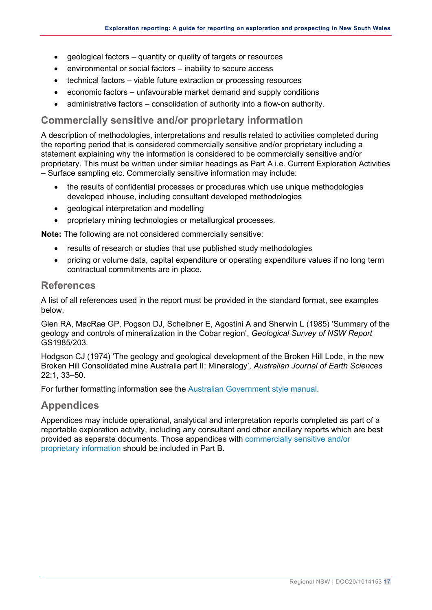- geological factors quantity or quality of targets or resources
- environmental or social factors inability to secure access
- technical factors viable future extraction or processing resources
- economic factors unfavourable market demand and supply conditions
- administrative factors consolidation of authority into a flow-on authority.

### <span id="page-18-0"></span>**Commercially sensitive and/or proprietary information**

A description of methodologies, interpretations and results related to activities completed during the reporting period that is considered commercially sensitive and/or proprietary including a statement explaining why the information is considered to be commercially sensitive and/or proprietary. This must be written under similar headings as Part A i.e. Current Exploration Activities – Surface sampling etc. Commercially sensitive information may include:

- the results of confidential processes or procedures which use unique methodologies developed inhouse, including consultant developed methodologies
- geological interpretation and modelling
- proprietary mining technologies or metallurgical processes.

**Note:** The following are not considered commercially sensitive:

- results of research or studies that use published study methodologies
- pricing or volume data, capital expenditure or operating expenditure values if no long term contractual commitments are in place.

#### <span id="page-18-1"></span>**References**

A list of all references used in the report must be provided in the standard format, see examples below.

Glen RA, MacRae GP, Pogson DJ, Scheibner E, Agostini A and Sherwin L (1985) 'Summary of the geology and controls of mineralization in the Cobar region', *Geological Survey of NSW Report* GS1985/203.

Hodgson CJ (1974) 'The geology and geological development of the Broken Hill Lode, in the new Broken Hill Consolidated mine Australia part II: Mineralogy', *Australian Journal of Earth Sciences* 22:1, 33–50.

For further formatting information see the [Australian Government style manual.](https://www.stylemanual.gov.au/style-rules-and-conventions/referencing-and-attribution/author-date)

#### <span id="page-18-2"></span>**Appendices**

<span id="page-18-3"></span>Appendices may include operational, analytical and interpretation reports completed as part of a reportable exploration activity, including any consultant and other ancillary reports which are best provided as separate documents. Those appendices with [commercially sensitive and/or](#page-18-0)  [proprietary](#page-18-0) information should be included in Part B.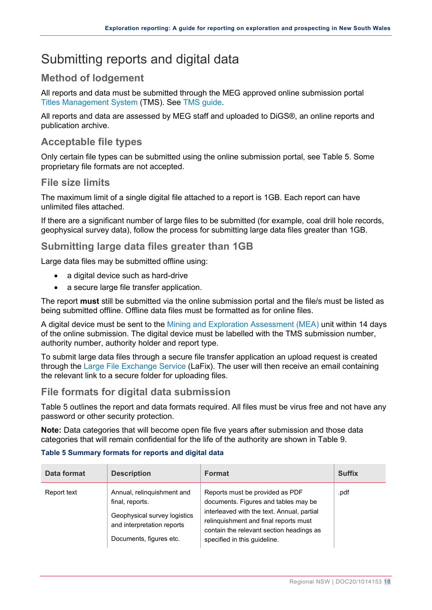## <span id="page-19-0"></span>Submitting reports and digital data

## <span id="page-19-1"></span>**Method of lodgement**

All reports and data must be submitted through the MEG approved online submission portal [Titles Management Sy](https://www.regional.nsw.gov.au/meg/exploring-and-mining/titles-management-system)stem (TMS). See [TMS guide](https://www.regional.nsw.gov.au/__data/assets/pdf_file/0007/1386835/TMS-Guide-Lodging-geological-reports-data.pdf).

All reports and data are assessed by MEG staff and uploaded to DiGS®, an online reports and publication archive.

## <span id="page-19-2"></span>**Acceptable file types**

Only certain file types can be submitted using the online submission portal, see [Table 5.](#page-19-6) Some proprietary file formats are not accepted.

### <span id="page-19-3"></span>**File size limits**

The maximum limit of a single digital file attached to a report is 1GB. Each report can have unlimited files attached.

If there are a significant number of large files to be submitted (for example, coal drill hole records, geophysical survey data), follow the process for submitting large data files greater than 1GB.

### <span id="page-19-4"></span>**Submitting large data files greater than 1GB**

Large data files may be submitted offline using:

- a digital device such as hard-drive
- a secure large file transfer application.

The report **must** still be submitted via the online submission portal and the file/s must be listed as being submitted offline. Offline data files must be formatted as for online files.

A digital device must be sent to the [Mining and Exploration Assessment](mailto:mining.explorationassessment@geoscience.nsw.gov.au) (MEA) unit within 14 days of the online submission. The digital device must be labelled with the TMS submission number, authority number, authority holder and report type.

To submit large data files through a secure file transfer application an upload request is created through the [Large File Exchange Service](https://www.regional.nsw.gov.au/meg/geoscience/products-and-data/company-exploration-reports/online-services/lafix) (LaFix). The user will then receive an email containing the relevant link to a secure folder for uploading files.

#### <span id="page-19-5"></span>**File formats for digital data submission**

[Table 5](#page-19-6) outlines the report and data formats required. All files must be virus free and not have any password or other security protection.

**Note:** Data categories that will become open file five years after submission and those data categories that will remain confidential for the life of the authority are shown in [Table 9.](#page-31-1)

#### <span id="page-19-6"></span>**Table 5 Summary formats for reports and digital data**

| Data format | <b>Description</b>                                                                                                                     | <b>Format</b>                                                                                                                                                                                                                              | <b>Suffix</b> |
|-------------|----------------------------------------------------------------------------------------------------------------------------------------|--------------------------------------------------------------------------------------------------------------------------------------------------------------------------------------------------------------------------------------------|---------------|
| Report text | Annual, relinquishment and<br>final, reports.<br>Geophysical survey logistics<br>and interpretation reports<br>Documents, figures etc. | Reports must be provided as PDF<br>documents. Figures and tables may be<br>interleaved with the text. Annual, partial<br>relinquishment and final reports must<br>contain the relevant section headings as<br>specified in this guideline. | .pdf          |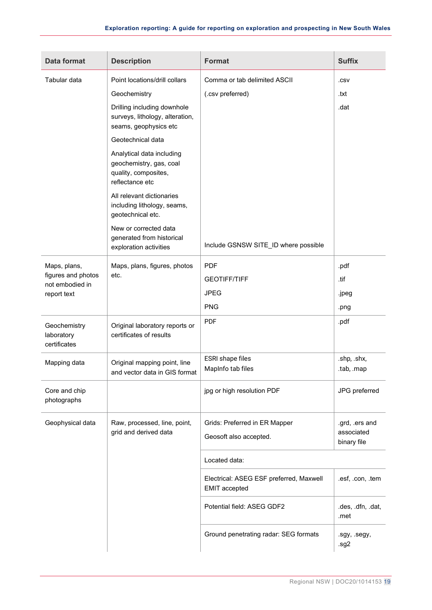| Data format                                | <b>Description</b>                                                                              | <b>Format</b>                                                   | <b>Suffix</b>             |
|--------------------------------------------|-------------------------------------------------------------------------------------------------|-----------------------------------------------------------------|---------------------------|
| Tabular data                               | Point locations/drill collars                                                                   | Comma or tab delimited ASCII                                    | .CSV                      |
|                                            | Geochemistry                                                                                    | (.csv preferred)                                                | .txt                      |
|                                            | Drilling including downhole<br>surveys, lithology, alteration,<br>seams, geophysics etc         |                                                                 | .dat                      |
|                                            | Geotechnical data                                                                               |                                                                 |                           |
|                                            | Analytical data including<br>geochemistry, gas, coal<br>quality, composites,<br>reflectance etc |                                                                 |                           |
|                                            | All relevant dictionaries<br>including lithology, seams,<br>geotechnical etc.                   |                                                                 |                           |
|                                            | New or corrected data                                                                           |                                                                 |                           |
|                                            | generated from historical<br>exploration activities                                             | Include GSNSW SITE_ID where possible                            |                           |
| Maps, plans,                               | Maps, plans, figures, photos                                                                    | <b>PDF</b>                                                      | .pdf                      |
| figures and photos<br>not embodied in      | etc.                                                                                            | <b>GEOTIFF/TIFF</b>                                             | .tif                      |
| report text                                |                                                                                                 | <b>JPEG</b>                                                     | .jpeg                     |
|                                            |                                                                                                 | <b>PNG</b>                                                      | .png                      |
| Geochemistry<br>laboratory<br>certificates | Original laboratory reports or<br>certificates of results                                       | <b>PDF</b>                                                      | .pdf                      |
| Mapping data                               | Original mapping point, line                                                                    | ESRI shape files                                                | .shp, .shx,               |
|                                            | and vector data in GIS format                                                                   | MapInfo tab files                                               | .tab, .map                |
| Core and chip<br>photographs               |                                                                                                 | jpg or high resolution PDF                                      | JPG preferred             |
| Geophysical data                           | Raw, processed, line, point,                                                                    | Grids: Preferred in ER Mapper                                   | .grd, .ers and            |
|                                            | grid and derived data                                                                           | Geosoft also accepted.                                          | associated<br>binary file |
|                                            |                                                                                                 | Located data:                                                   |                           |
|                                            |                                                                                                 | Electrical: ASEG ESF preferred, Maxwell<br><b>EMIT</b> accepted | .esf, .con, .tem          |
|                                            |                                                                                                 | Potential field: ASEG GDF2                                      | .des, .dfn, .dat,<br>.met |
|                                            |                                                                                                 | Ground penetrating radar: SEG formats                           | .sgy, .segy,<br>.sg2      |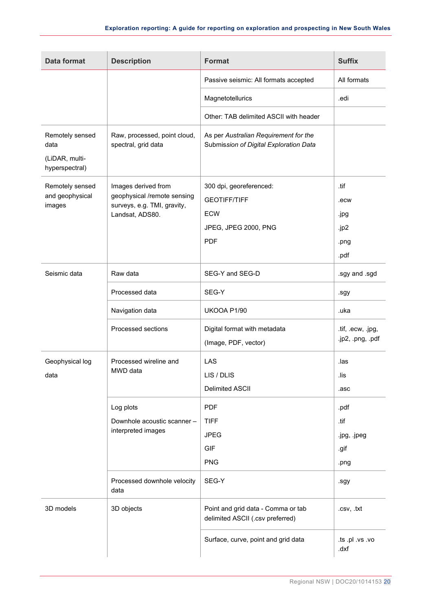| <b>Data format</b>                                          | <b>Description</b>                                                                                   | <b>Format</b>                                                                               | <b>Suffix</b>                                |
|-------------------------------------------------------------|------------------------------------------------------------------------------------------------------|---------------------------------------------------------------------------------------------|----------------------------------------------|
|                                                             |                                                                                                      | Passive seismic: All formats accepted                                                       | All formats                                  |
|                                                             |                                                                                                      | Magnetotellurics                                                                            | .edi                                         |
|                                                             |                                                                                                      | Other: TAB delimited ASCII with header                                                      |                                              |
| Remotely sensed<br>data<br>(LiDAR, multi-<br>hyperspectral) | Raw, processed, point cloud,<br>spectral, grid data                                                  | As per Australian Requirement for the<br>Submission of Digital Exploration Data             |                                              |
| Remotely sensed<br>and geophysical<br>images                | Images derived from<br>geophysical /remote sensing<br>surveys, e.g. TMI, gravity,<br>Landsat, ADS80. | 300 dpi, georeferenced:<br><b>GEOTIFF/TIFF</b><br>ECW<br>JPEG, JPEG 2000, PNG<br><b>PDF</b> | .tif<br>.ecw<br>.jpg<br>.jp2<br>.png<br>.pdf |
| Seismic data                                                | Raw data                                                                                             | SEG-Y and SEG-D                                                                             | .sgy and .sgd                                |
|                                                             | Processed data                                                                                       | SEG-Y                                                                                       | .sgy                                         |
|                                                             | Navigation data                                                                                      | UKOOA P1/90                                                                                 | .uka                                         |
|                                                             | Processed sections                                                                                   | Digital format with metadata<br>(Image, PDF, vector)                                        | .tif, .ecw, .jpg,<br>.jp2, .png, .pdf        |
| Geophysical log<br>data                                     | Processed wireline and<br>MWD data                                                                   | LAS<br>LIS / DLIS<br><b>Delimited ASCII</b>                                                 | .las<br>.lis<br>.asc                         |
|                                                             | Log plots<br>Downhole acoustic scanner -<br>interpreted images                                       | <b>PDF</b><br><b>TIFF</b><br><b>JPEG</b><br><b>GIF</b><br><b>PNG</b>                        | .pdf<br>.tif<br>.jpg, .jpeg<br>.gif<br>.png  |
|                                                             | Processed downhole velocity<br>data                                                                  | SEG-Y                                                                                       | .sgy                                         |
| 3D models                                                   | 3D objects                                                                                           | Point and grid data - Comma or tab<br>delimited ASCII (.csv preferred)                      | .csv, .txt                                   |
|                                                             |                                                                                                      | Surface, curve, point and grid data                                                         | .ts .pl .vs .vo<br>.dxf                      |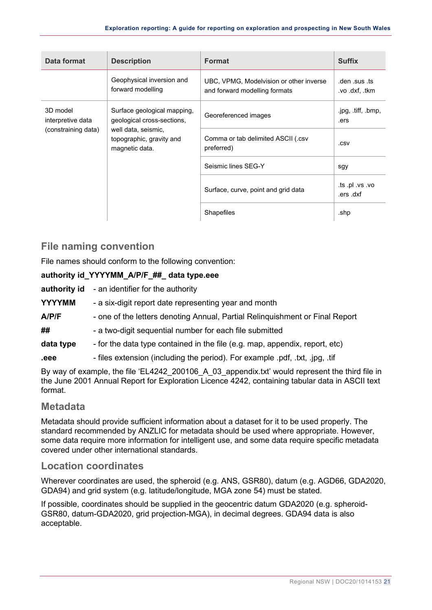| Data format                                          | <b>Description</b>                                                | Format                                                                   | <b>Suffix</b>                   |
|------------------------------------------------------|-------------------------------------------------------------------|--------------------------------------------------------------------------|---------------------------------|
|                                                      | Geophysical inversion and<br>forward modelling                    | UBC, VPMG, Modelvision or other inverse<br>and forward modelling formats | .den .sus .ts<br>.vo .dxf. .tkm |
| 3D model<br>interpretive data<br>(constraining data) | Surface geological mapping,<br>geological cross-sections,         | Georeferenced images                                                     | .jpg, .tiff, .bmp,<br>.ers      |
|                                                      | well data, seismic,<br>topographic, gravity and<br>magnetic data. | Comma or tab delimited ASCII (.csv<br>preferred)                         | .csv                            |
|                                                      |                                                                   | Seismic lines SEG-Y                                                      | sgy                             |
|                                                      |                                                                   | Surface, curve, point and grid data                                      | .ts .pl .vs .vo<br>.ers .dxf    |
|                                                      |                                                                   | Shapefiles                                                               | .shp                            |

## <span id="page-22-0"></span>**File naming convention**

File names should conform to the following convention:

#### **authority id\_YYYYMM\_A/P/F\_##\_ data type.eee**

**authority id** - an identifier for the authority

- **YYYYMM** a six-digit report date representing year and month
- **A/P/F** one of the letters denoting Annual, Partial Relinquishment or Final Report
- **##** a two-digit sequential number for each file submitted
- **data type** for the data type contained in the file (e.g. map, appendix, report, etc)
- **eee** files extension (including the period). For example .pdf, .txt, .jpg, .tif

By way of example, the file 'EL4242 200106 A 03 appendix.txt' would represent the third file in the June 2001 Annual Report for Exploration Licence 4242, containing tabular data in ASCII text format.

#### <span id="page-22-1"></span>**Metadata**

Metadata should provide sufficient information about a dataset for it to be used properly. The standard recommended by ANZLIC for metadata should be used where appropriate. However, some data require more information for intelligent use, and some data require specific metadata covered under other international standards.

#### <span id="page-22-2"></span>**Location coordinates**

Wherever coordinates are used, the spheroid (e.g. ANS, GSR80), datum (e.g. AGD66, GDA2020, GDA94) and grid system (e.g. latitude/longitude, MGA zone 54) must be stated.

If possible, coordinates should be supplied in the geocentric datum GDA2020 (e.g. spheroid-GSR80, datum-GDA2020, grid projection-MGA), in decimal degrees. GDA94 data is also acceptable.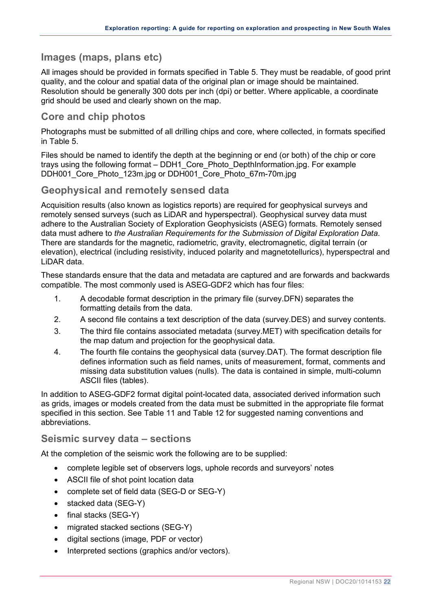### <span id="page-23-0"></span>**Images (maps, plans etc)**

All images should be provided in formats specified in [Table 5.](#page-19-6) They must be readable, of good print quality, and the colour and spatial data of the original plan or image should be maintained. Resolution should be generally 300 dots per inch (dpi) or better. Where applicable, a coordinate grid should be used and clearly shown on the map.

### <span id="page-23-1"></span>**Core and chip photos**

Photographs must be submitted of all drilling chips and core, where collected, in formats specified in [Table 5.](#page-19-6)

Files should be named to identify the depth at the beginning or end (or both) of the chip or core trays using the following format – DDH1\_Core\_Photo\_DepthInformation.jpg. For example DDH001 Core Photo 123m.jpg or DDH001 Core Photo 67m-70m.jpg

#### <span id="page-23-2"></span>**Geophysical and remotely sensed data**

Acquisition results (also known as logistics reports) are required for geophysical surveys and remotely sensed surveys (such as LiDAR and hyperspectral). Geophysical survey data must adhere to the Australian Society of Exploration Geophysicists (ASEG) formats. Remotely sensed data must adhere to *the Australian Requirements for the Submission of Digital Exploration Data*. There are standards for the magnetic, radiometric, gravity, electromagnetic, digital terrain (or elevation), electrical (including resistivity, induced polarity and magnetotellurics), hyperspectral and LiDAR data.

These standards ensure that the data and metadata are captured and are forwards and backwards compatible. The most commonly used is ASEG-GDF2 which has four files:

- 1. A decodable format description in the primary file (survey.DFN) separates the formatting details from the data.
- 2. A second file contains a text description of the data (survey.DES) and survey contents.
- 3. The third file contains associated metadata (survey.MET) with specification details for the map datum and projection for the geophysical data.
- 4. The fourth file contains the geophysical data (survey.DAT). The format description file defines information such as field names, units of measurement, format, comments and missing data substitution values (nulls). The data is contained in simple, multi-column ASCII files (tables).

In addition to ASEG-GDF2 format digital point-located data, associated derived information such as grids, images or models created from the data must be submitted in the appropriate file format specified in this section. See [Table 11](#page-44-1) and [Table 12](#page-44-2) for suggested naming conventions and abbreviations.

#### <span id="page-23-3"></span>**Seismic survey data – sections**

At the completion of the seismic work the following are to be supplied:

- complete legible set of observers logs, uphole records and surveyors' notes
- ASCII file of shot point location data
- complete set of field data (SEG-D or SEG-Y)
- stacked data (SEG-Y)
- final stacks (SEG-Y)
- migrated stacked sections (SEG-Y)
- digital sections (image, PDF or vector)
- Interpreted sections (graphics and/or vectors).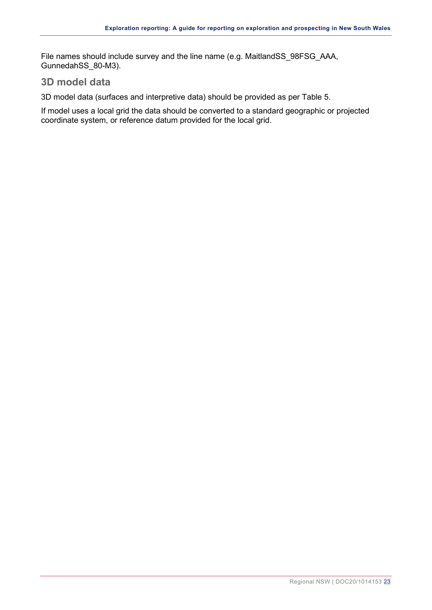File names should include survey and the line name (e.g. MaitlandSS\_98FSG\_AAA, GunnedahSS\_80-M3).

#### <span id="page-24-0"></span>**3D model data**

3D model data (surfaces and interpretive data) should be provided as per Table 5.

If model uses a local grid the data should be converted to a standard geographic or projected coordinate system, or reference datum provided for the local grid.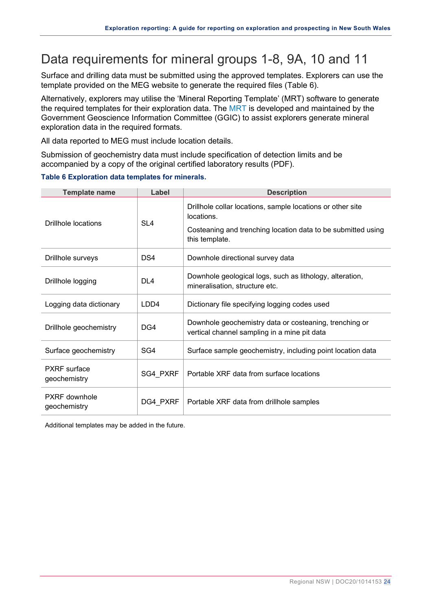## <span id="page-25-0"></span>Data requirements for mineral groups 1-8, 9A, 10 and 11

Surface and drilling data must be submitted using the approved templates. Explorers can use the template provided on the MEG website to generate the required files [\(Table 6\)](#page-25-1).

Alternatively, explorers may utilise the 'Mineral Reporting Template' (MRT) software to generate the required templates for their exploration data. The [MRT](http://www.australiaminerals.gov.au/legislation-regulations-and-guidelines#exp) is developed and maintained by the Government Geoscience Information Committee (GGIC) to assist explorers generate mineral exploration data in the required formats.

All data reported to MEG must include location details.

Submission of geochemistry data must include specification of detection limits and be accompanied by a copy of the original certified laboratory results (PDF).

| <b>Template name</b>                | Label           | <b>Description</b>                                                                                     |
|-------------------------------------|-----------------|--------------------------------------------------------------------------------------------------------|
| <b>Drillhole locations</b>          | SL <sub>4</sub> | Drillhole collar locations, sample locations or other site<br>locations.                               |
|                                     |                 | Costeaning and trenching location data to be submitted using<br>this template.                         |
| Drillhole surveys                   | DS4             | Downhole directional survey data                                                                       |
| Drillhole logging                   | DI4             | Downhole geological logs, such as lithology, alteration,<br>mineralisation, structure etc.             |
| Logging data dictionary             | LDD4            | Dictionary file specifying logging codes used                                                          |
| Drillhole geochemistry              | DG4             | Downhole geochemistry data or costeaning, trenching or<br>vertical channel sampling in a mine pit data |
| Surface geochemistry                | SG4             | Surface sample geochemistry, including point location data                                             |
| <b>PXRF</b> surface<br>geochemistry | SG4 PXRF        | Portable XRF data from surface locations                                                               |
| PXRF downhole<br>geochemistry       | DG4_PXRF        | Portable XRF data from drillhole samples                                                               |

#### <span id="page-25-1"></span>**Table 6 Exploration data templates for minerals.**

Additional templates may be added in the future.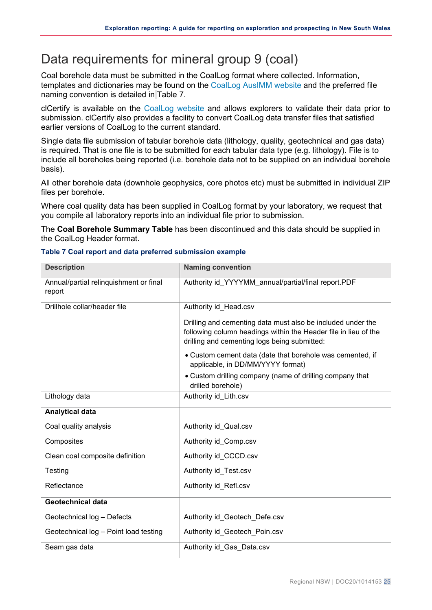## <span id="page-26-0"></span>Data requirements for mineral group 9 (coal)

Coal borehole data must be submitted in the CoalLog format where collected. Information, templates and dictionaries may be found on the [CoalLog AusIMM website](https://www.ausimm.com/insights-and-resources/resources/codes-and-standards/coallog/) and the preferred file naming convention is detailed in [Table 7.](#page-26-1)

clCertify is available on the [CoalLog website](https://www.ausimm.com/insights-and-resources/resources/codes-and-standards/coallog/) and allows explorers to validate their data prior to submission. clCertify also provides a facility to convert CoalLog data transfer files that satisfied earlier versions of CoalLog to the current standard.

Single data file submission of tabular borehole data (lithology, quality, geotechnical and gas data) is required. That is one file is to be submitted for each tabular data type (e.g. lithology). File is to include all boreholes being reported (i.e. borehole data not to be supplied on an individual borehole basis).

All other borehole data (downhole geophysics, core photos etc) must be submitted in individual ZIP files per borehole.

Where coal quality data has been supplied in CoalLog format by your laboratory, we request that you compile all laboratory reports into an individual file prior to submission.

The **Coal Borehole Summary Table** has been discontinued and this data should be supplied in the CoalLog Header format.

| <b>Description</b>                               | <b>Naming convention</b>                                                                                                                                                       |
|--------------------------------------------------|--------------------------------------------------------------------------------------------------------------------------------------------------------------------------------|
| Annual/partial relinquishment or final<br>report | Authority id_YYYYMM_annual/partial/final report.PDF                                                                                                                            |
| Drillhole collar/header file                     | Authority id Head.csv                                                                                                                                                          |
|                                                  | Drilling and cementing data must also be included under the<br>following column headings within the Header file in lieu of the<br>drilling and cementing logs being submitted: |
|                                                  | • Custom cement data (date that borehole was cemented, if<br>applicable, in DD/MM/YYYY format)                                                                                 |
|                                                  | • Custom drilling company (name of drilling company that<br>drilled borehole)                                                                                                  |
| Lithology data                                   | Authority id Lith.csv                                                                                                                                                          |
| <b>Analytical data</b>                           |                                                                                                                                                                                |
| Coal quality analysis                            | Authority id Qual.csv                                                                                                                                                          |
| Composites                                       | Authority id_Comp.csv                                                                                                                                                          |
| Clean coal composite definition                  | Authority id_CCCD.csv                                                                                                                                                          |
| Testing                                          | Authority id_Test.csv                                                                                                                                                          |
| Reflectance                                      | Authority id Refl.csv                                                                                                                                                          |
| <b>Geotechnical data</b>                         |                                                                                                                                                                                |
| Geotechnical log - Defects                       | Authority id Geotech Defe.csv                                                                                                                                                  |
| Geotechnical log - Point load testing            | Authority id_Geotech_Poin.csv                                                                                                                                                  |
| Seam gas data                                    | Authority id_Gas_Data.csv                                                                                                                                                      |

#### <span id="page-26-1"></span>**Table 7 Coal report and data preferred submission example**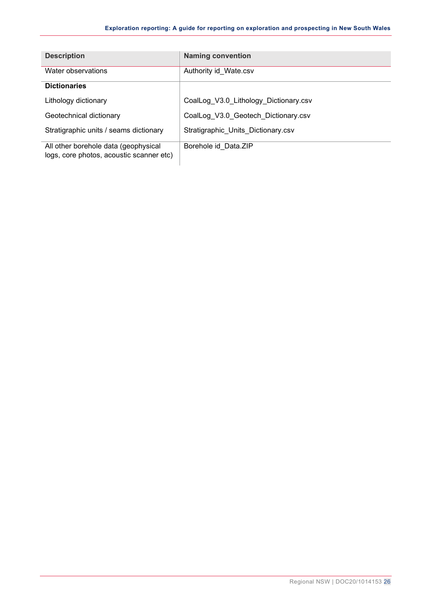| <b>Description</b>                                                               | <b>Naming convention</b>              |
|----------------------------------------------------------------------------------|---------------------------------------|
| Water observations                                                               | Authority id_Wate.csv                 |
| <b>Dictionaries</b>                                                              |                                       |
| Lithology dictionary                                                             | CoalLog V3.0 Lithology Dictionary.csv |
| Geotechnical dictionary                                                          | CoalLog_V3.0_Geotech_Dictionary.csv   |
| Stratigraphic units / seams dictionary                                           | Stratigraphic_Units_Dictionary.csv    |
| All other borehole data (geophysical<br>logs, core photos, acoustic scanner etc) | Borehole id Data.ZIP                  |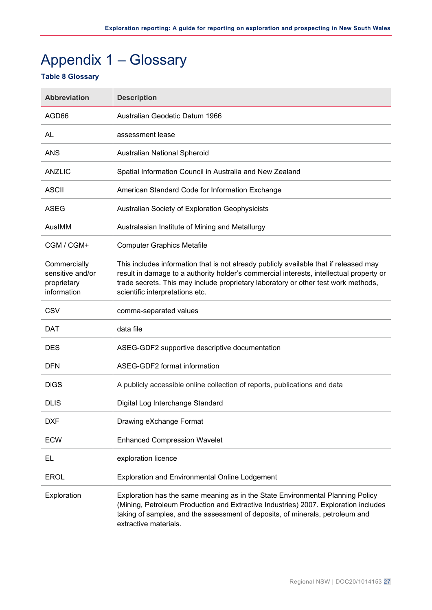# <span id="page-28-0"></span>Appendix 1 – Glossary

#### <span id="page-28-1"></span>**Table 8 Glossary**

| <b>Abbreviation</b>                                            | <b>Description</b>                                                                                                                                                                                                                                                                                        |
|----------------------------------------------------------------|-----------------------------------------------------------------------------------------------------------------------------------------------------------------------------------------------------------------------------------------------------------------------------------------------------------|
| AGD66                                                          | Australian Geodetic Datum 1966                                                                                                                                                                                                                                                                            |
| AL                                                             | assessment lease                                                                                                                                                                                                                                                                                          |
| <b>ANS</b>                                                     | Australian National Spheroid                                                                                                                                                                                                                                                                              |
| <b>ANZLIC</b>                                                  | Spatial Information Council in Australia and New Zealand                                                                                                                                                                                                                                                  |
| <b>ASCII</b>                                                   | American Standard Code for Information Exchange                                                                                                                                                                                                                                                           |
| <b>ASEG</b>                                                    | Australian Society of Exploration Geophysicists                                                                                                                                                                                                                                                           |
| AusIMM                                                         | Australasian Institute of Mining and Metallurgy                                                                                                                                                                                                                                                           |
| CGM / CGM+                                                     | <b>Computer Graphics Metafile</b>                                                                                                                                                                                                                                                                         |
| Commercially<br>sensitive and/or<br>proprietary<br>information | This includes information that is not already publicly available that if released may<br>result in damage to a authority holder's commercial interests, intellectual property or<br>trade secrets. This may include proprietary laboratory or other test work methods,<br>scientific interpretations etc. |
| CSV                                                            | comma-separated values                                                                                                                                                                                                                                                                                    |
| DAT                                                            | data file                                                                                                                                                                                                                                                                                                 |
| <b>DES</b>                                                     | ASEG-GDF2 supportive descriptive documentation                                                                                                                                                                                                                                                            |
| <b>DFN</b>                                                     | ASEG-GDF2 format information                                                                                                                                                                                                                                                                              |
| <b>DiGS</b>                                                    | A publicly accessible online collection of reports, publications and data                                                                                                                                                                                                                                 |
| <b>DLIS</b>                                                    | Digital Log Interchange Standard                                                                                                                                                                                                                                                                          |
| <b>DXF</b>                                                     | Drawing eXchange Format                                                                                                                                                                                                                                                                                   |
| <b>ECW</b>                                                     | <b>Enhanced Compression Wavelet</b>                                                                                                                                                                                                                                                                       |
| EL                                                             | exploration licence                                                                                                                                                                                                                                                                                       |
| <b>EROL</b>                                                    | <b>Exploration and Environmental Online Lodgement</b>                                                                                                                                                                                                                                                     |
| Exploration                                                    | Exploration has the same meaning as in the State Environmental Planning Policy<br>(Mining, Petroleum Production and Extractive Industries) 2007. Exploration includes<br>taking of samples, and the assessment of deposits, of minerals, petroleum and<br>extractive materials.                           |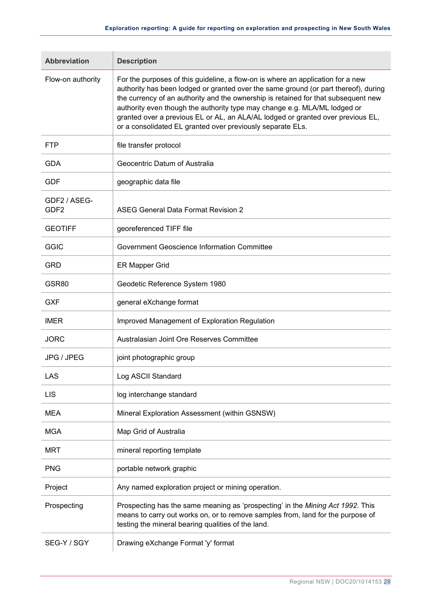| <b>Abbreviation</b>              | <b>Description</b>                                                                                                                                                                                                                                                                                                                                                                                                                                                                         |
|----------------------------------|--------------------------------------------------------------------------------------------------------------------------------------------------------------------------------------------------------------------------------------------------------------------------------------------------------------------------------------------------------------------------------------------------------------------------------------------------------------------------------------------|
| Flow-on authority                | For the purposes of this guideline, a flow-on is where an application for a new<br>authority has been lodged or granted over the same ground (or part thereof), during<br>the currency of an authority and the ownership is retained for that subsequent new<br>authority even though the authority type may change e.g. MLA/ML lodged or<br>granted over a previous EL or AL, an ALA/AL lodged or granted over previous EL,<br>or a consolidated EL granted over previously separate ELs. |
| <b>FTP</b>                       | file transfer protocol                                                                                                                                                                                                                                                                                                                                                                                                                                                                     |
| <b>GDA</b>                       | Geocentric Datum of Australia                                                                                                                                                                                                                                                                                                                                                                                                                                                              |
| <b>GDF</b>                       | geographic data file                                                                                                                                                                                                                                                                                                                                                                                                                                                                       |
| GDF2 / ASEG-<br>GDF <sub>2</sub> | <b>ASEG General Data Format Revision 2</b>                                                                                                                                                                                                                                                                                                                                                                                                                                                 |
| <b>GEOTIFF</b>                   | georeferenced TIFF file                                                                                                                                                                                                                                                                                                                                                                                                                                                                    |
| <b>GGIC</b>                      | Government Geoscience Information Committee                                                                                                                                                                                                                                                                                                                                                                                                                                                |
| <b>GRD</b>                       | <b>ER Mapper Grid</b>                                                                                                                                                                                                                                                                                                                                                                                                                                                                      |
| GSR80                            | Geodetic Reference System 1980                                                                                                                                                                                                                                                                                                                                                                                                                                                             |
| <b>GXF</b>                       | general eXchange format                                                                                                                                                                                                                                                                                                                                                                                                                                                                    |
| <b>IMER</b>                      | Improved Management of Exploration Regulation                                                                                                                                                                                                                                                                                                                                                                                                                                              |
| <b>JORC</b>                      | Australasian Joint Ore Reserves Committee                                                                                                                                                                                                                                                                                                                                                                                                                                                  |
| JPG / JPEG                       | joint photographic group                                                                                                                                                                                                                                                                                                                                                                                                                                                                   |
| LAS                              | Log ASCII Standard                                                                                                                                                                                                                                                                                                                                                                                                                                                                         |
| <b>LIS</b>                       | log interchange standard                                                                                                                                                                                                                                                                                                                                                                                                                                                                   |
| <b>MEA</b>                       | Mineral Exploration Assessment (within GSNSW)                                                                                                                                                                                                                                                                                                                                                                                                                                              |
| <b>MGA</b>                       | Map Grid of Australia                                                                                                                                                                                                                                                                                                                                                                                                                                                                      |
| <b>MRT</b>                       | mineral reporting template                                                                                                                                                                                                                                                                                                                                                                                                                                                                 |
| <b>PNG</b>                       | portable network graphic                                                                                                                                                                                                                                                                                                                                                                                                                                                                   |
| Project                          | Any named exploration project or mining operation.                                                                                                                                                                                                                                                                                                                                                                                                                                         |
| Prospecting                      | Prospecting has the same meaning as 'prospecting' in the Mining Act 1992. This<br>means to carry out works on, or to remove samples from, land for the purpose of<br>testing the mineral bearing qualities of the land.                                                                                                                                                                                                                                                                    |
| SEG-Y / SGY                      | Drawing eXchange Format 'y' format                                                                                                                                                                                                                                                                                                                                                                                                                                                         |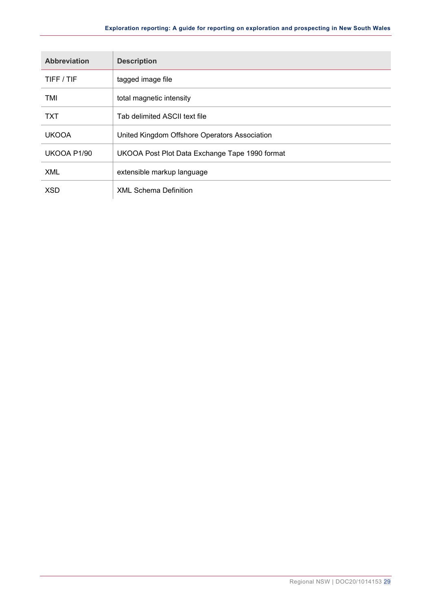| <b>Abbreviation</b> | <b>Description</b>                             |
|---------------------|------------------------------------------------|
| TIFF / TIF          | tagged image file                              |
| TMI                 | total magnetic intensity                       |
| TXT                 | Tab delimited ASCII text file                  |
| <b>UKOOA</b>        | United Kingdom Offshore Operators Association  |
| UKOOA P1/90         | UKOOA Post Plot Data Exchange Tape 1990 format |
| <b>XML</b>          | extensible markup language                     |
| <b>XSD</b>          | <b>XML Schema Definition</b>                   |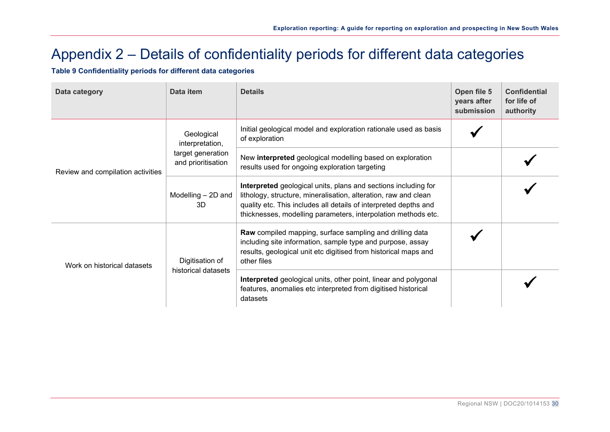# Appendix 2 – Details of confidentiality periods for different data categories

**Table 9 Confidentiality periods for different data categories**

<span id="page-31-1"></span><span id="page-31-0"></span>

| Data category                     | Data item                               | <b>Details</b>                                                                                                                                                                                                                                                         | Open file 5<br>years after<br>submission | <b>Confidential</b><br>for life of<br>authority |
|-----------------------------------|-----------------------------------------|------------------------------------------------------------------------------------------------------------------------------------------------------------------------------------------------------------------------------------------------------------------------|------------------------------------------|-------------------------------------------------|
| Review and compilation activities | Geological<br>interpretation,           | Initial geological model and exploration rationale used as basis<br>of exploration                                                                                                                                                                                     |                                          |                                                 |
|                                   | target generation<br>and prioritisation | New interpreted geological modelling based on exploration<br>results used for ongoing exploration targeting                                                                                                                                                            |                                          |                                                 |
|                                   | Modelling - 2D and<br>3D                | Interpreted geological units, plans and sections including for<br>lithology, structure, mineralisation, alteration, raw and clean<br>quality etc. This includes all details of interpreted depths and<br>thicknesses, modelling parameters, interpolation methods etc. |                                          |                                                 |
| Work on historical datasets       | Digitisation of                         | Raw compiled mapping, surface sampling and drilling data<br>including site information, sample type and purpose, assay<br>results, geological unit etc digitised from historical maps and<br>other files                                                               |                                          |                                                 |
|                                   | historical datasets                     | Interpreted geological units, other point, linear and polygonal<br>features, anomalies etc interpreted from digitised historical<br>datasets                                                                                                                           |                                          |                                                 |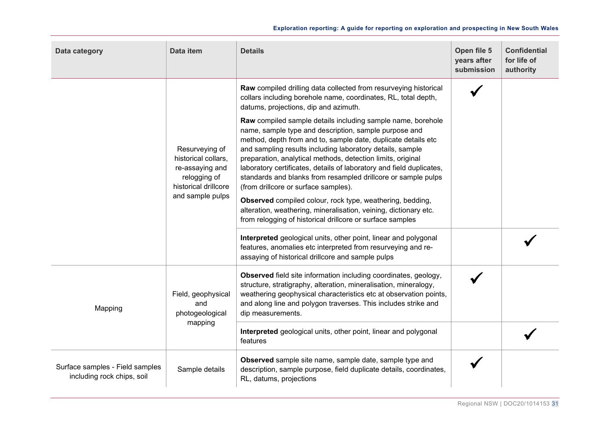| Data category                                                 | Data item                                                                                                                                                                                  | <b>Details</b>                                                                                                                                                                                                                                                                                                                                                                                                                                                                                     | Open file 5<br>years after<br>submission | <b>Confidential</b><br>for life of<br>authority |
|---------------------------------------------------------------|--------------------------------------------------------------------------------------------------------------------------------------------------------------------------------------------|----------------------------------------------------------------------------------------------------------------------------------------------------------------------------------------------------------------------------------------------------------------------------------------------------------------------------------------------------------------------------------------------------------------------------------------------------------------------------------------------------|------------------------------------------|-------------------------------------------------|
|                                                               |                                                                                                                                                                                            | Raw compiled drilling data collected from resurveying historical<br>collars including borehole name, coordinates, RL, total depth,<br>datums, projections, dip and azimuth.                                                                                                                                                                                                                                                                                                                        |                                          |                                                 |
|                                                               | Resurveying of<br>historical collars,<br>re-assaying and<br>relogging of<br>historical drillcore                                                                                           | Raw compiled sample details including sample name, borehole<br>name, sample type and description, sample purpose and<br>method, depth from and to, sample date, duplicate details etc<br>and sampling results including laboratory details, sample<br>preparation, analytical methods, detection limits, original<br>laboratory certificates, details of laboratory and field duplicates,<br>standards and blanks from resampled drillcore or sample pulps<br>(from drillcore or surface samples). |                                          |                                                 |
| and sample pulps                                              | Observed compiled colour, rock type, weathering, bedding,<br>alteration, weathering, mineralisation, veining, dictionary etc.<br>from relogging of historical drillcore or surface samples |                                                                                                                                                                                                                                                                                                                                                                                                                                                                                                    |                                          |                                                 |
|                                                               |                                                                                                                                                                                            | Interpreted geological units, other point, linear and polygonal<br>features, anomalies etc interpreted from resurveying and re-<br>assaying of historical drillcore and sample pulps                                                                                                                                                                                                                                                                                                               |                                          |                                                 |
| Mapping                                                       | Field, geophysical<br>and<br>photogeological                                                                                                                                               | <b>Observed</b> field site information including coordinates, geology,<br>structure, stratigraphy, alteration, mineralisation, mineralogy,<br>weathering geophysical characteristics etc at observation points,<br>and along line and polygon traverses. This includes strike and<br>dip measurements.                                                                                                                                                                                             |                                          |                                                 |
|                                                               | mapping                                                                                                                                                                                    | Interpreted geological units, other point, linear and polygonal<br>features                                                                                                                                                                                                                                                                                                                                                                                                                        |                                          |                                                 |
| Surface samples - Field samples<br>including rock chips, soil | Sample details                                                                                                                                                                             | Observed sample site name, sample date, sample type and<br>description, sample purpose, field duplicate details, coordinates,<br>RL, datums, projections                                                                                                                                                                                                                                                                                                                                           |                                          |                                                 |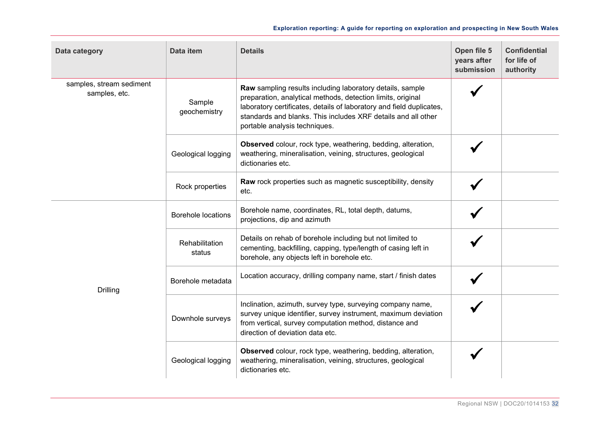| Data category                             | Data item                 | <b>Details</b>                                                                                                                                                                                                                                                                                     | Open file 5<br>years after<br>submission | <b>Confidential</b><br>for life of<br>authority |
|-------------------------------------------|---------------------------|----------------------------------------------------------------------------------------------------------------------------------------------------------------------------------------------------------------------------------------------------------------------------------------------------|------------------------------------------|-------------------------------------------------|
| samples, stream sediment<br>samples, etc. | Sample<br>geochemistry    | Raw sampling results including laboratory details, sample<br>preparation, analytical methods, detection limits, original<br>laboratory certificates, details of laboratory and field duplicates,<br>standards and blanks. This includes XRF details and all other<br>portable analysis techniques. |                                          |                                                 |
|                                           | Geological logging        | Observed colour, rock type, weathering, bedding, alteration,<br>weathering, mineralisation, veining, structures, geological<br>dictionaries etc.                                                                                                                                                   |                                          |                                                 |
|                                           | Rock properties           | <b>Raw</b> rock properties such as magnetic susceptibility, density<br>etc.                                                                                                                                                                                                                        |                                          |                                                 |
| <b>Drilling</b>                           | <b>Borehole locations</b> | Borehole name, coordinates, RL, total depth, datums,<br>projections, dip and azimuth                                                                                                                                                                                                               |                                          |                                                 |
|                                           | Rehabilitation<br>status  | Details on rehab of borehole including but not limited to<br>cementing, backfilling, capping, type/length of casing left in<br>borehole, any objects left in borehole etc.                                                                                                                         |                                          |                                                 |
|                                           | Borehole metadata         | Location accuracy, drilling company name, start / finish dates                                                                                                                                                                                                                                     |                                          |                                                 |
|                                           | Downhole surveys          | Inclination, azimuth, survey type, surveying company name,<br>survey unique identifier, survey instrument, maximum deviation<br>from vertical, survey computation method, distance and<br>direction of deviation data etc.                                                                         |                                          |                                                 |
|                                           | Geological logging        | Observed colour, rock type, weathering, bedding, alteration,<br>weathering, mineralisation, veining, structures, geological<br>dictionaries etc.                                                                                                                                                   |                                          |                                                 |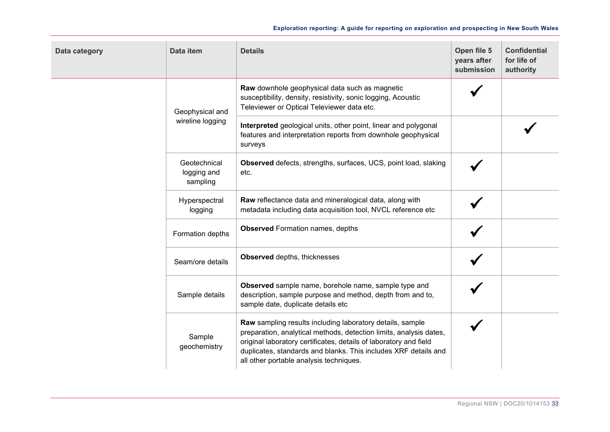| Data category | Data item                               | <b>Details</b>                                                                                                                                                                                                                                                                                                     | Open file 5<br>years after<br>submission | <b>Confidential</b><br>for life of<br>authority |
|---------------|-----------------------------------------|--------------------------------------------------------------------------------------------------------------------------------------------------------------------------------------------------------------------------------------------------------------------------------------------------------------------|------------------------------------------|-------------------------------------------------|
|               | Geophysical and                         | Raw downhole geophysical data such as magnetic<br>susceptibility, density, resistivity, sonic logging, Acoustic<br>Televiewer or Optical Televiewer data etc.                                                                                                                                                      |                                          |                                                 |
|               | wireline logging                        | Interpreted geological units, other point, linear and polygonal<br>features and interpretation reports from downhole geophysical<br>surveys                                                                                                                                                                        |                                          |                                                 |
|               | Geotechnical<br>logging and<br>sampling | Observed defects, strengths, surfaces, UCS, point load, slaking<br>etc.                                                                                                                                                                                                                                            |                                          |                                                 |
|               | Hyperspectral<br>logging                | Raw reflectance data and mineralogical data, along with<br>metadata including data acquisition tool, NVCL reference etc                                                                                                                                                                                            |                                          |                                                 |
|               | Formation depths                        | <b>Observed</b> Formation names, depths                                                                                                                                                                                                                                                                            |                                          |                                                 |
|               | Seam/ore details                        | Observed depths, thicknesses                                                                                                                                                                                                                                                                                       |                                          |                                                 |
|               | Sample details                          | Observed sample name, borehole name, sample type and<br>description, sample purpose and method, depth from and to,<br>sample date, duplicate details etc                                                                                                                                                           |                                          |                                                 |
|               | Sample<br>geochemistry                  | Raw sampling results including laboratory details, sample<br>preparation, analytical methods, detection limits, analysis dates,<br>original laboratory certificates, details of laboratory and field<br>duplicates, standards and blanks. This includes XRF details and<br>all other portable analysis techniques. |                                          |                                                 |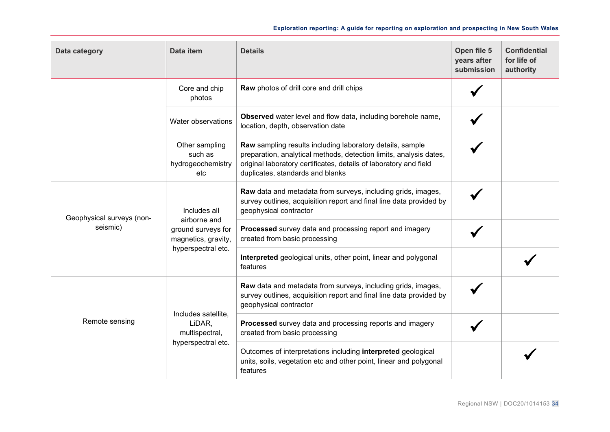| Data category                         | Data item                                                                                       | <b>Details</b>                                                                                                                                                                                                                           | Open file 5<br>years after<br>submission | <b>Confidential</b><br>for life of<br>authority |
|---------------------------------------|-------------------------------------------------------------------------------------------------|------------------------------------------------------------------------------------------------------------------------------------------------------------------------------------------------------------------------------------------|------------------------------------------|-------------------------------------------------|
|                                       | Core and chip<br>photos                                                                         | Raw photos of drill core and drill chips                                                                                                                                                                                                 |                                          |                                                 |
|                                       | Water observations                                                                              | Observed water level and flow data, including borehole name,<br>location, depth, observation date                                                                                                                                        |                                          |                                                 |
|                                       | Other sampling<br>such as<br>hydrogeochemistry<br>etc                                           | Raw sampling results including laboratory details, sample<br>preparation, analytical methods, detection limits, analysis dates,<br>original laboratory certificates, details of laboratory and field<br>duplicates, standards and blanks |                                          |                                                 |
| Geophysical surveys (non-<br>seismic) | Includes all<br>airborne and<br>ground surveys for<br>magnetics, gravity,<br>hyperspectral etc. | Raw data and metadata from surveys, including grids, images,<br>survey outlines, acquisition report and final line data provided by<br>geophysical contractor                                                                            |                                          |                                                 |
|                                       |                                                                                                 | Processed survey data and processing report and imagery<br>created from basic processing                                                                                                                                                 |                                          |                                                 |
|                                       |                                                                                                 | Interpreted geological units, other point, linear and polygonal<br>features                                                                                                                                                              |                                          |                                                 |
| Remote sensing                        | Includes satellite,<br>LiDAR,<br>multispectral,<br>hyperspectral etc.                           | Raw data and metadata from surveys, including grids, images,<br>survey outlines, acquisition report and final line data provided by<br>geophysical contractor                                                                            |                                          |                                                 |
|                                       |                                                                                                 | Processed survey data and processing reports and imagery<br>created from basic processing                                                                                                                                                |                                          |                                                 |
|                                       |                                                                                                 | Outcomes of interpretations including interpreted geological<br>units, soils, vegetation etc and other point, linear and polygonal<br>features                                                                                           |                                          |                                                 |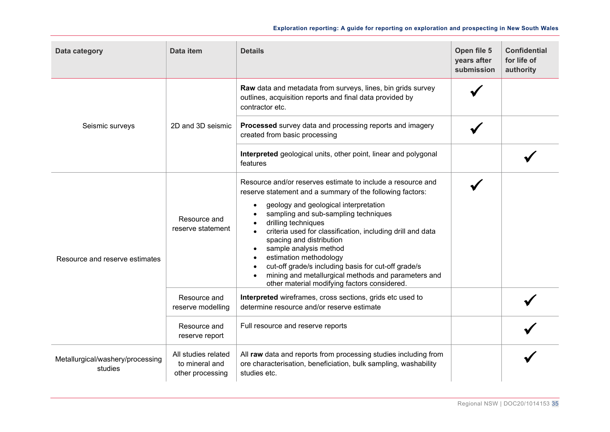| Data category                               | Data item                                                 | <b>Details</b>                                                                                                                                                                                                                                                                                                                                                                                                                                                                                                                               | Open file 5<br>years after<br>submission | <b>Confidential</b><br>for life of<br>authority |
|---------------------------------------------|-----------------------------------------------------------|----------------------------------------------------------------------------------------------------------------------------------------------------------------------------------------------------------------------------------------------------------------------------------------------------------------------------------------------------------------------------------------------------------------------------------------------------------------------------------------------------------------------------------------------|------------------------------------------|-------------------------------------------------|
|                                             |                                                           | Raw data and metadata from surveys, lines, bin grids survey<br>outlines, acquisition reports and final data provided by<br>contractor etc.                                                                                                                                                                                                                                                                                                                                                                                                   |                                          |                                                 |
| Seismic surveys                             | 2D and 3D seismic                                         | Processed survey data and processing reports and imagery<br>created from basic processing                                                                                                                                                                                                                                                                                                                                                                                                                                                    |                                          |                                                 |
|                                             |                                                           | Interpreted geological units, other point, linear and polygonal<br>features                                                                                                                                                                                                                                                                                                                                                                                                                                                                  |                                          |                                                 |
| Resource and reserve estimates              | Resource and<br>reserve statement                         | Resource and/or reserves estimate to include a resource and<br>reserve statement and a summary of the following factors:<br>geology and geological interpretation<br>sampling and sub-sampling techniques<br>drilling techniques<br>criteria used for classification, including drill and data<br>spacing and distribution<br>sample analysis method<br>estimation methodology<br>cut-off grade/s including basis for cut-off grade/s<br>mining and metallurgical methods and parameters and<br>other material modifying factors considered. |                                          |                                                 |
|                                             | Resource and<br>reserve modelling                         | Interpreted wireframes, cross sections, grids etc used to<br>determine resource and/or reserve estimate                                                                                                                                                                                                                                                                                                                                                                                                                                      |                                          |                                                 |
|                                             | Resource and<br>reserve report                            | Full resource and reserve reports                                                                                                                                                                                                                                                                                                                                                                                                                                                                                                            |                                          |                                                 |
| Metallurgical/washery/processing<br>studies | All studies related<br>to mineral and<br>other processing | All raw data and reports from processing studies including from<br>ore characterisation, beneficiation, bulk sampling, washability<br>studies etc.                                                                                                                                                                                                                                                                                                                                                                                           |                                          |                                                 |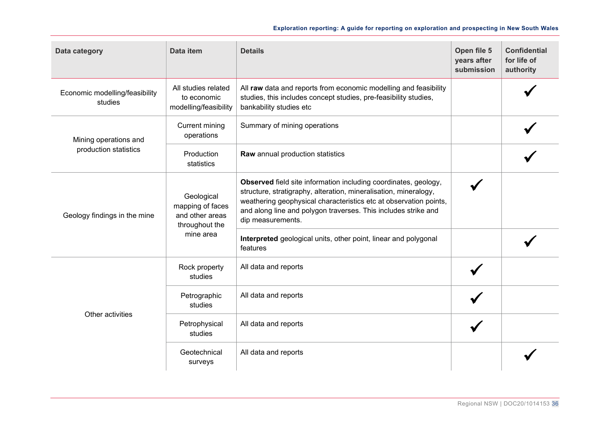| Data category                             | Data item                                                           | <b>Details</b>                                                                                                                                                                                                                                                                                  | Open file 5<br>years after<br>submission | <b>Confidential</b><br>for life of<br>authority |
|-------------------------------------------|---------------------------------------------------------------------|-------------------------------------------------------------------------------------------------------------------------------------------------------------------------------------------------------------------------------------------------------------------------------------------------|------------------------------------------|-------------------------------------------------|
| Economic modelling/feasibility<br>studies | All studies related<br>to economic<br>modelling/feasibility         | All raw data and reports from economic modelling and feasibility<br>studies, this includes concept studies, pre-feasibility studies,<br>bankability studies etc                                                                                                                                 |                                          |                                                 |
| Mining operations and                     | <b>Current mining</b><br>operations                                 | Summary of mining operations                                                                                                                                                                                                                                                                    |                                          |                                                 |
| production statistics                     | Production<br>statistics                                            | Raw annual production statistics                                                                                                                                                                                                                                                                |                                          |                                                 |
| Geology findings in the mine              | Geological<br>mapping of faces<br>and other areas<br>throughout the | Observed field site information including coordinates, geology,<br>structure, stratigraphy, alteration, mineralisation, mineralogy,<br>weathering geophysical characteristics etc at observation points,<br>and along line and polygon traverses. This includes strike and<br>dip measurements. |                                          |                                                 |
|                                           | mine area                                                           | Interpreted geological units, other point, linear and polygonal<br>features                                                                                                                                                                                                                     |                                          |                                                 |
|                                           | Rock property<br>studies                                            | All data and reports                                                                                                                                                                                                                                                                            |                                          |                                                 |
| Other activities                          | Petrographic<br>studies                                             | All data and reports                                                                                                                                                                                                                                                                            |                                          |                                                 |
|                                           | Petrophysical<br>studies                                            | All data and reports                                                                                                                                                                                                                                                                            |                                          |                                                 |
|                                           | Geotechnical<br>surveys                                             | All data and reports                                                                                                                                                                                                                                                                            |                                          |                                                 |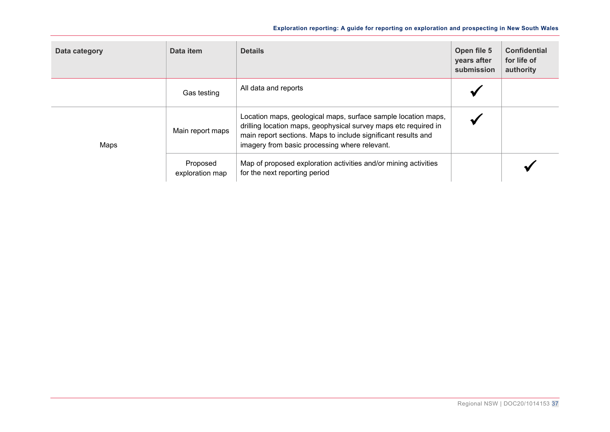| Data category | Data item                   | <b>Details</b>                                                                                                                                                                                                                                     | Open file 5<br>years after<br>submission | <b>Confidential</b><br>for life of<br>authority |
|---------------|-----------------------------|----------------------------------------------------------------------------------------------------------------------------------------------------------------------------------------------------------------------------------------------------|------------------------------------------|-------------------------------------------------|
|               | Gas testing                 | All data and reports                                                                                                                                                                                                                               |                                          |                                                 |
| Maps          | Main report maps            | Location maps, geological maps, surface sample location maps,<br>drilling location maps, geophysical survey maps etc required in<br>main report sections. Maps to include significant results and<br>imagery from basic processing where relevant. |                                          |                                                 |
|               | Proposed<br>exploration map | Map of proposed exploration activities and/or mining activities<br>for the next reporting period                                                                                                                                                   |                                          |                                                 |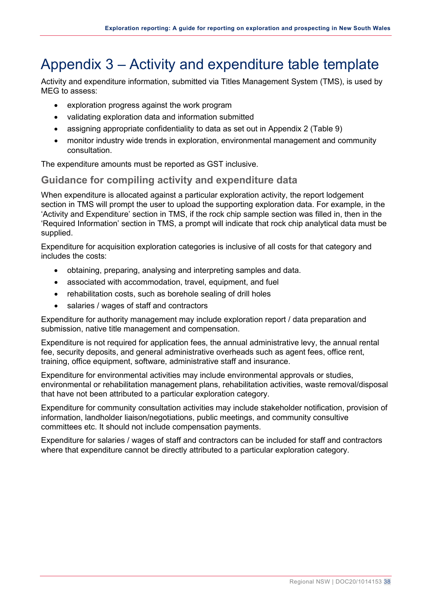# <span id="page-39-0"></span>Appendix 3 – Activity and expenditure table template

<span id="page-39-2"></span>Activity and expenditure information, submitted via Titles Management System (TMS), is used by MEG to assess:

- exploration progress against the work program
- validating exploration data and information submitted
- assigning appropriate confidentiality to data as set out in Appendix 2 (Table 9)
- monitor industry wide trends in exploration, environmental management and community consultation.

The expenditure amounts must be reported as GST inclusive.

### <span id="page-39-1"></span>**Guidance for compiling activity and expenditure data**

When expenditure is allocated against a particular exploration activity, the report lodgement section in TMS will prompt the user to upload the supporting exploration data. For example, in the 'Activity and Expenditure' section in TMS, if the rock chip sample section was filled in, then in the 'Required Information' section in TMS, a prompt will indicate that rock chip analytical data must be supplied.

Expenditure for acquisition exploration categories is inclusive of all costs for that category and includes the costs:

- obtaining, preparing, analysing and interpreting samples and data.
- associated with accommodation, travel, equipment, and fuel
- rehabilitation costs, such as borehole sealing of drill holes
- salaries / wages of staff and contractors

Expenditure for authority management may include exploration report / data preparation and submission, native title management and compensation.

Expenditure is not required for application fees, the annual administrative levy, the annual rental fee, security deposits, and general administrative overheads such as agent fees, office rent, training, office equipment, software, administrative staff and insurance.

Expenditure for environmental activities may include environmental approvals or studies, environmental or rehabilitation management plans, rehabilitation activities, waste removal/disposal that have not been attributed to a particular exploration category.

Expenditure for community consultation activities may include stakeholder notification, provision of information, landholder liaison/negotiations, public meetings, and community consultive committees etc. It should not include compensation payments.

Expenditure for salaries / wages of staff and contractors can be included for staff and contractors where that expenditure cannot be directly attributed to a particular exploration category.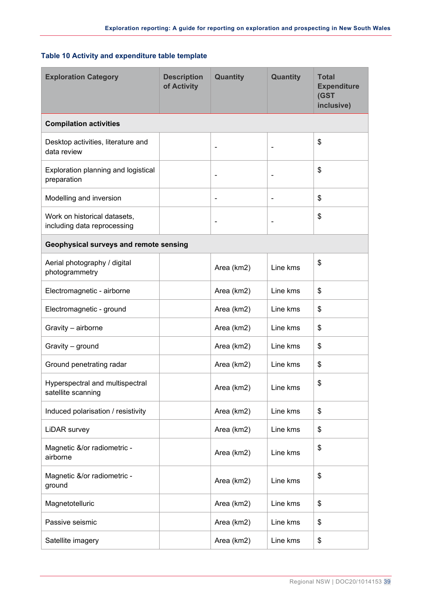#### **Table 10 Activity and expenditure table template**

| <b>Exploration Category</b>                                 | <b>Description</b><br>of Activity | Quantity       | Quantity                 | <b>Total</b><br><b>Expenditure</b><br>(GST<br>inclusive) |
|-------------------------------------------------------------|-----------------------------------|----------------|--------------------------|----------------------------------------------------------|
| <b>Compilation activities</b>                               |                                   |                |                          |                                                          |
| Desktop activities, literature and<br>data review           |                                   | $\blacksquare$ |                          | \$                                                       |
| Exploration planning and logistical<br>preparation          |                                   | $\blacksquare$ | ٠                        | \$                                                       |
| Modelling and inversion                                     |                                   | $\blacksquare$ | $\overline{\phantom{a}}$ | \$                                                       |
| Work on historical datasets,<br>including data reprocessing |                                   | $\blacksquare$ |                          | \$                                                       |
| Geophysical surveys and remote sensing                      |                                   |                |                          |                                                          |
| Aerial photography / digital<br>photogrammetry              |                                   | Area (km2)     | Line kms                 | \$                                                       |
| Electromagnetic - airborne                                  |                                   | Area (km2)     | Line kms                 | \$                                                       |
| Electromagnetic - ground                                    |                                   | Area (km2)     | Line kms                 | \$                                                       |
| Gravity - airborne                                          |                                   | Area (km2)     | Line kms                 | \$                                                       |
| Gravity - ground                                            |                                   | Area (km2)     | Line kms                 | \$                                                       |
| Ground penetrating radar                                    |                                   | Area (km2)     | Line kms                 | \$                                                       |
| Hyperspectral and multispectral<br>satellite scanning       |                                   | Area (km2)     | Line kms                 | \$                                                       |
| Induced polarisation / resistivity                          |                                   | Area (km2)     | Line kms                 | \$                                                       |
| LiDAR survey                                                |                                   | Area (km2)     | Line kms                 | \$                                                       |
| Magnetic &/or radiometric -<br>airborne                     |                                   | Area (km2)     | Line kms                 | \$                                                       |
| Magnetic &/or radiometric -<br>ground                       |                                   | Area (km2)     | Line kms                 | \$                                                       |
| Magnetotelluric                                             |                                   | Area (km2)     | Line kms                 | \$                                                       |
| Passive seismic                                             |                                   | Area (km2)     | Line kms                 | \$                                                       |
| Satellite imagery                                           |                                   | Area (km2)     | Line kms                 | \$                                                       |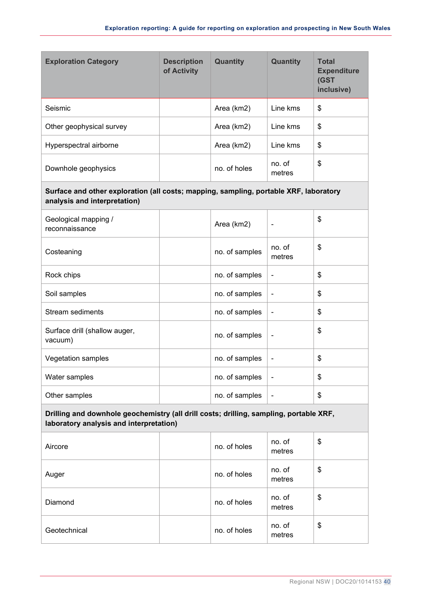| <b>Exploration Category</b> | <b>Description</b><br>of Activity | <b>Quantity</b> | <b>Quantity</b>  | <b>Total</b><br><b>Expenditure</b><br>(GST<br>inclusive) |
|-----------------------------|-----------------------------------|-----------------|------------------|----------------------------------------------------------|
| Seismic                     |                                   | Area (km2)      | Line kms         | \$                                                       |
| Other geophysical survey    |                                   | Area (km2)      | Line kms         | \$                                                       |
| Hyperspectral airborne      |                                   | Area (km2)      | Line kms         | \$                                                       |
| Downhole geophysics         |                                   | no. of holes    | no. of<br>metres | \$                                                       |

#### **Surface and other exploration (all costs; mapping, sampling, portable XRF, laboratory analysis and interpretation)**

| Geological mapping /<br>reconnaissance   | Area (km2)     |                  | \$ |
|------------------------------------------|----------------|------------------|----|
| Costeaning                               | no. of samples | no. of<br>metres | \$ |
| Rock chips                               | no. of samples |                  | \$ |
| Soil samples                             | no. of samples |                  | \$ |
| <b>Stream sediments</b>                  | no. of samples |                  | \$ |
| Surface drill (shallow auger,<br>vacuum) | no. of samples |                  | \$ |
| Vegetation samples                       | no. of samples |                  | \$ |
| Water samples                            | no. of samples |                  | \$ |
| Other samples                            | no. of samples |                  | \$ |

#### **Drilling and downhole geochemistry (all drill costs; drilling, sampling, portable XRF, laboratory analysis and interpretation)**

| Aircore      | no. of holes | no. of<br>metres | \$ |
|--------------|--------------|------------------|----|
| Auger        | no. of holes | no. of<br>metres | \$ |
| Diamond      | no. of holes | no. of<br>metres | \$ |
| Geotechnical | no. of holes | no. of<br>metres | \$ |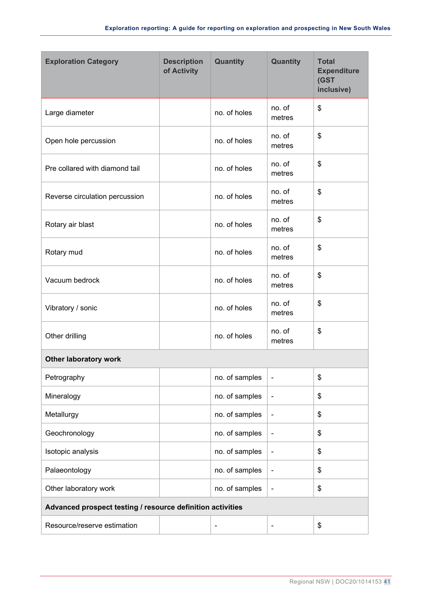| <b>Exploration Category</b>                                | <b>Description</b><br>of Activity | Quantity       | Quantity                 | <b>Total</b><br><b>Expenditure</b><br>(GST<br>inclusive) |
|------------------------------------------------------------|-----------------------------------|----------------|--------------------------|----------------------------------------------------------|
| Large diameter                                             |                                   | no. of holes   | no. of<br>metres         | \$                                                       |
| Open hole percussion                                       |                                   | no. of holes   | no. of<br>metres         | \$                                                       |
| Pre collared with diamond tail                             |                                   | no. of holes   | no. of<br>metres         | \$                                                       |
| Reverse circulation percussion                             |                                   | no. of holes   | no. of<br>metres         | \$                                                       |
| Rotary air blast                                           |                                   | no. of holes   | no. of<br>metres         | \$                                                       |
| Rotary mud                                                 |                                   | no. of holes   | no. of<br>metres         | \$                                                       |
| Vacuum bedrock                                             |                                   | no. of holes   | no. of<br>metres         | \$                                                       |
| Vibratory / sonic                                          |                                   | no. of holes   | no. of<br>metres         | \$                                                       |
| Other drilling                                             |                                   | no. of holes   | no. of<br>metres         | \$                                                       |
| <b>Other laboratory work</b>                               |                                   |                |                          |                                                          |
| Petrography                                                |                                   | no. of samples | $\overline{\phantom{a}}$ | \$                                                       |
| Mineralogy                                                 |                                   | no. of samples | $\blacksquare$           | \$                                                       |
| Metallurgy                                                 |                                   | no. of samples | $\blacksquare$           | \$                                                       |
| Geochronology                                              |                                   | no. of samples |                          | \$                                                       |
| Isotopic analysis                                          |                                   | no. of samples | $\overline{\phantom{a}}$ | \$                                                       |
| Palaeontology                                              |                                   | no. of samples | $\blacksquare$           | \$                                                       |
| Other laboratory work                                      |                                   | no. of samples | $\blacksquare$           | \$                                                       |
| Advanced prospect testing / resource definition activities |                                   |                |                          |                                                          |
| Resource/reserve estimation                                |                                   | $\overline{a}$ | $\overline{a}$           | \$                                                       |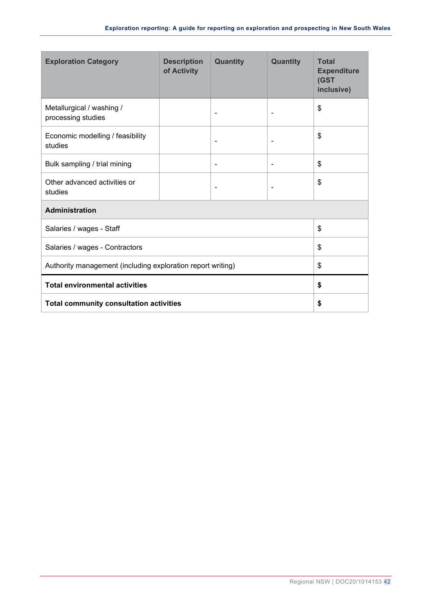| <b>Exploration Category</b>                                 | <b>Description</b><br>of Activity | <b>Quantity</b>          | <b>Quantity</b> | <b>Total</b><br><b>Expenditure</b><br>(GST<br>inclusive) |
|-------------------------------------------------------------|-----------------------------------|--------------------------|-----------------|----------------------------------------------------------|
| Metallurgical / washing /<br>processing studies             |                                   |                          | ٠               | \$                                                       |
| Economic modelling / feasibility<br>studies                 |                                   |                          |                 | \$                                                       |
| Bulk sampling / trial mining                                |                                   | $\overline{\phantom{0}}$ | $\blacksquare$  | \$                                                       |
| Other advanced activities or<br>studies                     |                                   |                          |                 | \$                                                       |
| <b>Administration</b>                                       |                                   |                          |                 |                                                          |
| Salaries / wages - Staff                                    |                                   |                          | \$              |                                                          |
| Salaries / wages - Contractors                              |                                   |                          | \$              |                                                          |
| Authority management (including exploration report writing) |                                   |                          | \$              |                                                          |
| <b>Total environmental activities</b>                       |                                   |                          | \$              |                                                          |
| <b>Total community consultation activities</b>              |                                   |                          | \$              |                                                          |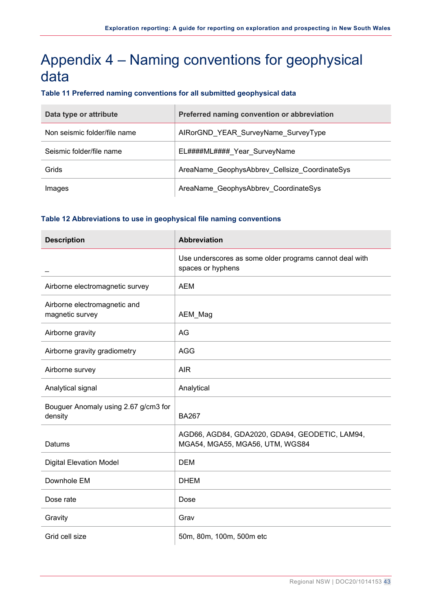# <span id="page-44-0"></span>Appendix 4 – Naming conventions for geophysical data

#### <span id="page-44-1"></span>**Table 11 Preferred naming conventions for all submitted geophysical data**

| Data type or attribute       | Preferred naming convention or abbreviation   |
|------------------------------|-----------------------------------------------|
| Non seismic folder/file name | AIRorGND_YEAR_SurveyName_SurveyType           |
| Seismic folder/file name     | EL####ML#### Year SurveyName                  |
| Grids                        | AreaName GeophysAbbrev Cellsize CoordinateSys |
| Images                       | AreaName GeophysAbbrev CoordinateSys          |

#### <span id="page-44-2"></span>**Table 12 Abbreviations to use in geophysical file naming conventions**

| <b>Description</b>                              | Abbreviation                                                                      |
|-------------------------------------------------|-----------------------------------------------------------------------------------|
|                                                 | Use underscores as some older programs cannot deal with<br>spaces or hyphens      |
| Airborne electromagnetic survey                 | <b>AEM</b>                                                                        |
| Airborne electromagnetic and<br>magnetic survey | AEM_Mag                                                                           |
| Airborne gravity                                | AG                                                                                |
| Airborne gravity gradiometry                    | <b>AGG</b>                                                                        |
| Airborne survey                                 | <b>AIR</b>                                                                        |
| Analytical signal                               | Analytical                                                                        |
| Bouguer Anomaly using 2.67 g/cm3 for<br>density | <b>BA267</b>                                                                      |
| Datums                                          | AGD66, AGD84, GDA2020, GDA94, GEODETIC, LAM94,<br>MGA54, MGA55, MGA56, UTM, WGS84 |
| <b>Digital Elevation Model</b>                  | <b>DEM</b>                                                                        |
| Downhole EM                                     | <b>DHEM</b>                                                                       |
| Dose rate                                       | Dose                                                                              |
| Gravity                                         | Grav                                                                              |
| Grid cell size                                  | 50m, 80m, 100m, 500m etc                                                          |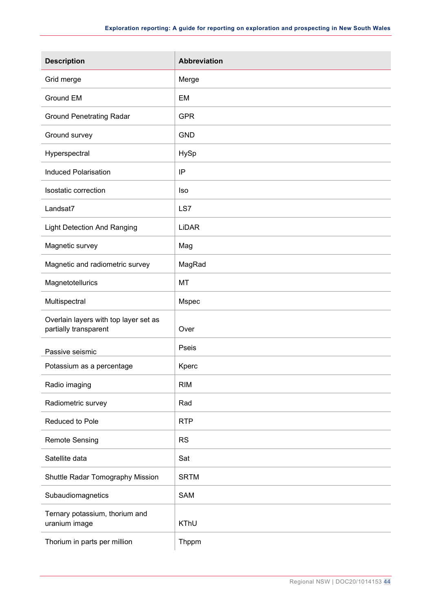| <b>Description</b>                                             | Abbreviation |
|----------------------------------------------------------------|--------------|
| Grid merge                                                     | Merge        |
| <b>Ground EM</b>                                               | <b>EM</b>    |
| <b>Ground Penetrating Radar</b>                                | <b>GPR</b>   |
| Ground survey                                                  | <b>GND</b>   |
| Hyperspectral                                                  | HySp         |
| <b>Induced Polarisation</b>                                    | IP           |
| Isostatic correction                                           | <b>Iso</b>   |
| Landsat7                                                       | LS7          |
| <b>Light Detection And Ranging</b>                             | <b>LiDAR</b> |
| Magnetic survey                                                | Mag          |
| Magnetic and radiometric survey                                | MagRad       |
| Magnetotellurics                                               | MT           |
| Multispectral                                                  | Mspec        |
| Overlain layers with top layer set as<br>partially transparent | Over         |
| Passive seismic                                                | Pseis        |
| Potassium as a percentage                                      | Kperc        |
| Radio imaging                                                  | <b>RIM</b>   |
| Radiometric survey                                             | Rad          |
| Reduced to Pole                                                | <b>RTP</b>   |
| <b>Remote Sensing</b>                                          | <b>RS</b>    |
| Satellite data                                                 | Sat          |
| Shuttle Radar Tomography Mission                               | <b>SRTM</b>  |
| Subaudiomagnetics                                              | SAM          |
| Ternary potassium, thorium and<br>uranium image                | KThU         |
| Thorium in parts per million                                   | Thppm        |